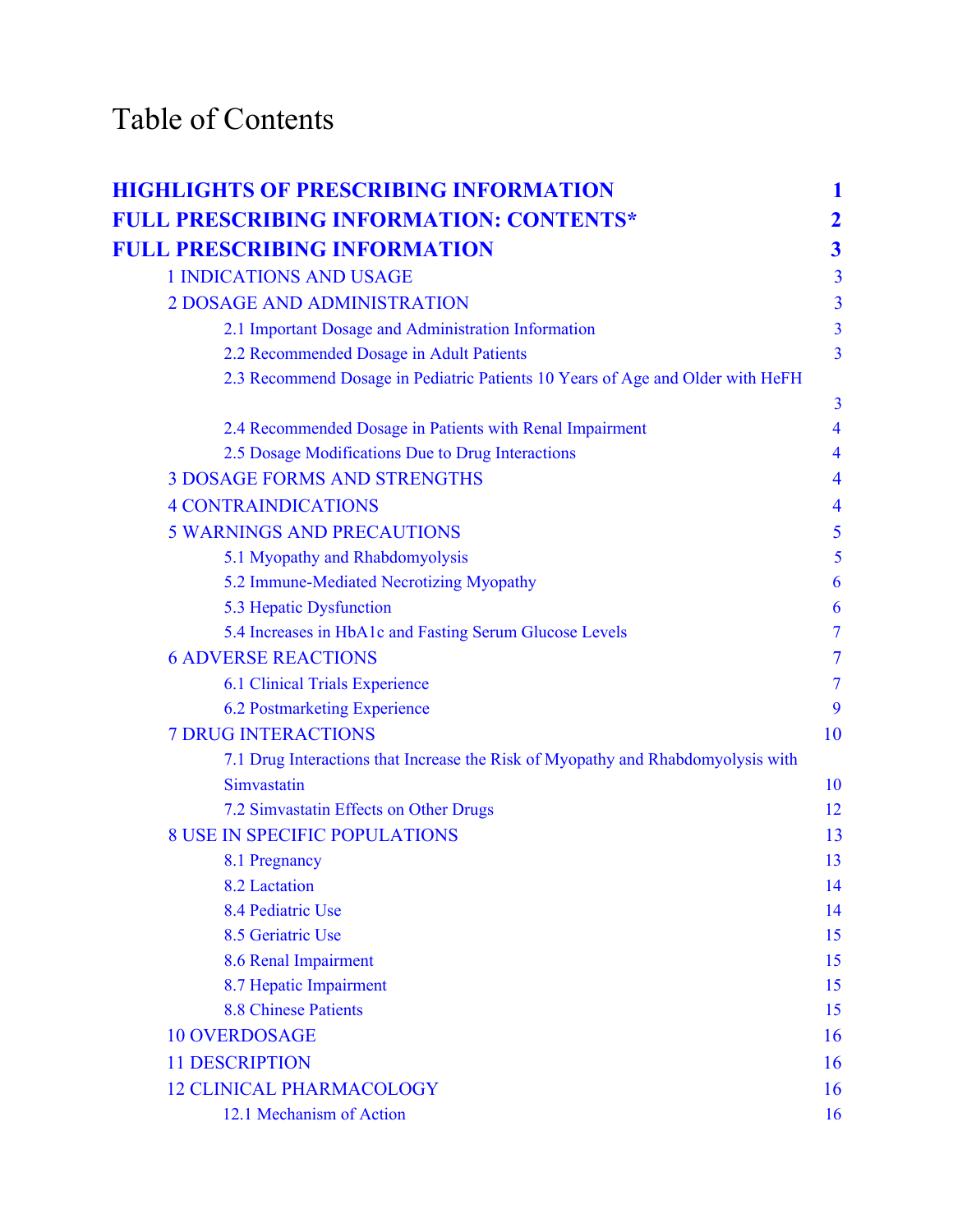# Table of Contents

| <b>HIGHLIGHTS OF PRESCRIBING INFORMATION</b>                                     | 1                       |
|----------------------------------------------------------------------------------|-------------------------|
| <b>FULL PRESCRIBING INFORMATION: CONTENTS*</b>                                   | $\overline{\mathbf{2}}$ |
| <b>FULL PRESCRIBING INFORMATION</b>                                              | $\boldsymbol{3}$        |
| <b>1 INDICATIONS AND USAGE</b>                                                   | 3                       |
| <b>2 DOSAGE AND ADMINISTRATION</b>                                               | $\overline{3}$          |
| 2.1 Important Dosage and Administration Information                              | $\overline{\mathbf{3}}$ |
| 2.2 Recommended Dosage in Adult Patients                                         | $\overline{3}$          |
| 2.3 Recommend Dosage in Pediatric Patients 10 Years of Age and Older with HeFH   |                         |
|                                                                                  | $\overline{3}$          |
| 2.4 Recommended Dosage in Patients with Renal Impairment                         | $\overline{4}$          |
| 2.5 Dosage Modifications Due to Drug Interactions                                | 4                       |
| <b>3 DOSAGE FORMS AND STRENGTHS</b>                                              | $\overline{4}$          |
| <b>4 CONTRAINDICATIONS</b>                                                       | $\overline{4}$          |
| <b>5 WARNINGS AND PRECAUTIONS</b>                                                | 5                       |
| 5.1 Myopathy and Rhabdomyolysis                                                  | 5                       |
| 5.2 Immune-Mediated Necrotizing Myopathy                                         | 6                       |
| 5.3 Hepatic Dysfunction                                                          | 6                       |
| 5.4 Increases in HbA1c and Fasting Serum Glucose Levels                          | $\overline{7}$          |
| <b>6 ADVERSE REACTIONS</b>                                                       | $\overline{7}$          |
| <b>6.1 Clinical Trials Experience</b>                                            | $\overline{7}$          |
| <b>6.2 Postmarketing Experience</b>                                              | 9                       |
| <b>7 DRUG INTERACTIONS</b>                                                       | 10                      |
| 7.1 Drug Interactions that Increase the Risk of Myopathy and Rhabdomyolysis with |                         |
| Simvastatin                                                                      | 10                      |
| 7.2 Simvastatin Effects on Other Drugs                                           | 12                      |
| <b>8 USE IN SPECIFIC POPULATIONS</b>                                             | 13                      |
| 8.1 Pregnancy                                                                    | 13                      |
| 8.2 Lactation                                                                    | 14                      |
| 8.4 Pediatric Use                                                                | 14                      |
| 8.5 Geriatric Use                                                                | 15                      |
| 8.6 Renal Impairment                                                             | 15                      |
| 8.7 Hepatic Impairment                                                           | 15                      |
| <b>8.8 Chinese Patients</b>                                                      | 15                      |
| <b>10 OVERDOSAGE</b>                                                             | 16                      |
| <b>11 DESCRIPTION</b>                                                            | 16                      |
| <b>12 CLINICAL PHARMACOLOGY</b>                                                  | 16                      |
| 12.1 Mechanism of Action                                                         | 16                      |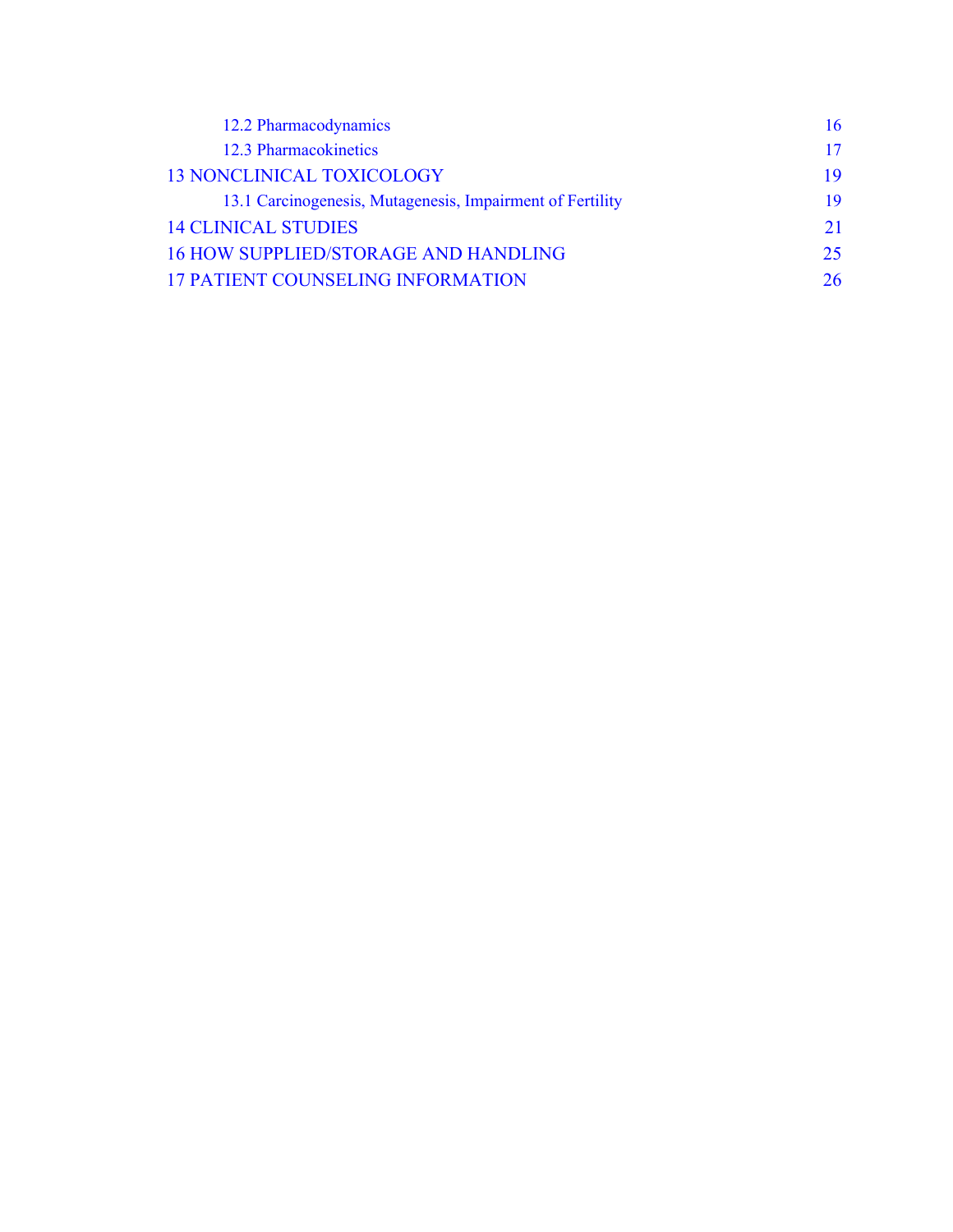| 12.2 Pharmacodynamics                                     | 16 |
|-----------------------------------------------------------|----|
| 12.3 Pharmacokinetics                                     | 17 |
| <b>13 NONCLINICAL TOXICOLOGY</b>                          | 19 |
| 13.1 Carcinogenesis, Mutagenesis, Impairment of Fertility | 19 |
| <b>14 CLINICAL STUDIES</b>                                | 21 |
| <b>16 HOW SUPPLIED/STORAGE AND HANDLING</b>               | 25 |
| <b>17 PATIENT COUNSELING INFORMATION</b>                  | 26 |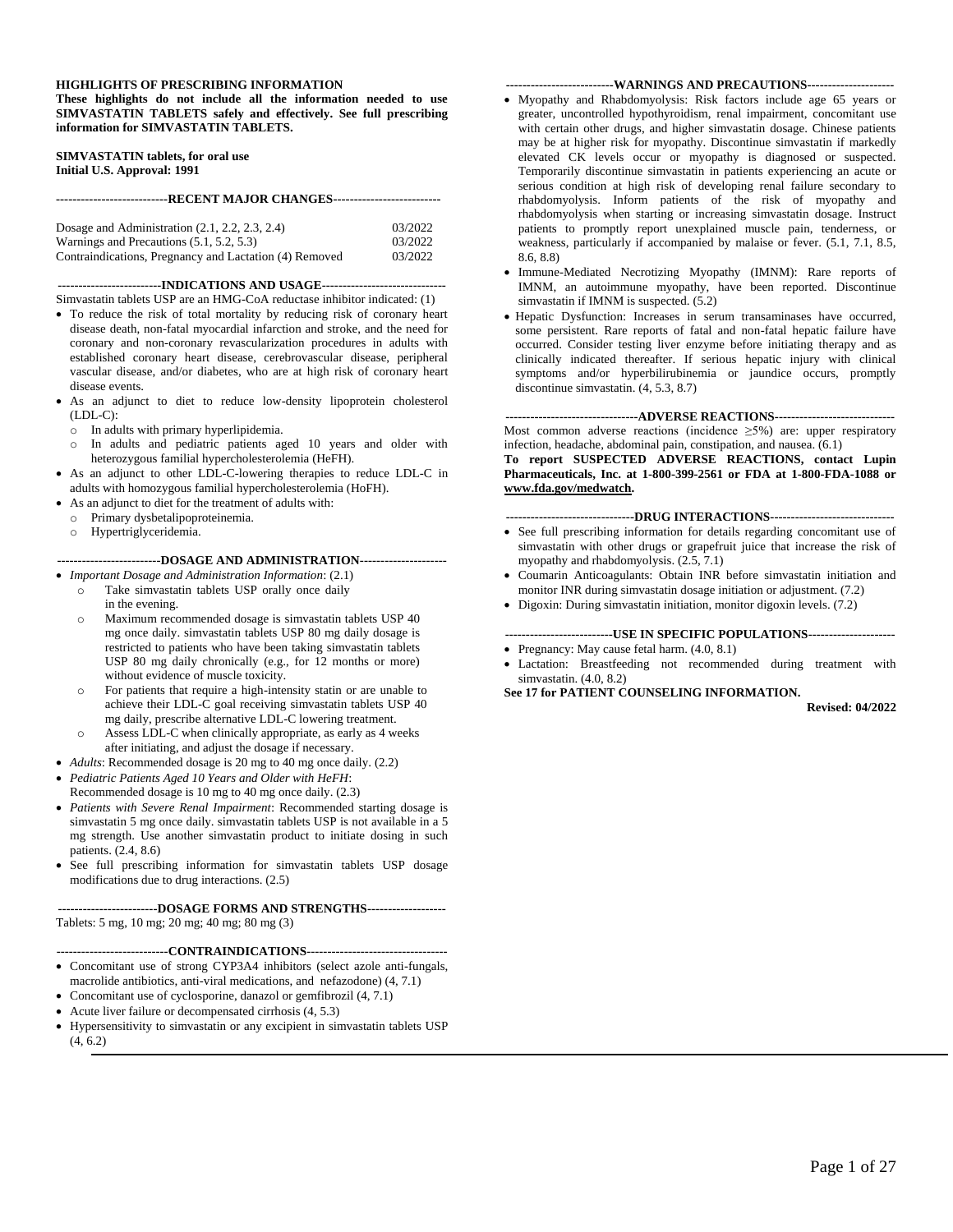#### <span id="page-2-0"></span>**HIGHLIGHTS OF PRESCRIBING INFORMATION**

**These highlights do not include all the information needed to use SIMVASTATIN TABLETS safely and effectively. See full prescribing information for SIMVASTATIN TABLETS.** 

#### **SIMVASTATIN tablets, for oral use Initial U.S. Approval: 1991**

| ----------------------------RECENT MAJOR CHANGES-------------------------- |         |  |  |  |
|----------------------------------------------------------------------------|---------|--|--|--|
|                                                                            |         |  |  |  |
| Dosage and Administration $(2.1, 2.2, 2.3, 2.4)$                           | 03/2022 |  |  |  |
| Warnings and Precautions (5.1, 5.2, 5.3)                                   | 03/2022 |  |  |  |
| Contraindications, Pregnancy and Lactation (4) Removed                     | 03/2022 |  |  |  |

**-------------------------INDICATIONS AND USAGE------------------------------**

- Simvastatin tablets USP are an HMG-CoA reductase inhibitor indicated: (1) To reduce the risk of total mortality by reducing risk of coronary heart disease death, non-fatal myocardial infarction and stroke, and the need for coronary and non-coronary revascularization procedures in adults with established coronary heart disease, cerebrovascular disease, peripheral vascular disease, and/or diabetes, who are at high risk of coronary heart
- disease events. As an adjunct to diet to reduce low-density lipoprotein cholesterol (LDL-C):
	- o In adults with primary hyperlipidemia.
	- o In adults and pediatric patients aged 10 years and older with heterozygous familial hypercholesterolemia (HeFH).
- As an adjunct to other LDL-C-lowering therapies to reduce LDL-C in adults with homozygous familial hypercholesterolemia (HoFH).
- As an adjunct to diet for the treatment of adults with:
	- o Primary dysbetalipoproteinemia.
	- o Hypertriglyceridemia.

#### **-------------------------DOSAGE AND ADMINISTRATION---------------------**

- *Important Dosage and Administration Information*: (2.1)
	- Take simvastatin tablets USP orally once daily in the evening.
	- Maximum recommended dosage is simvastatin tablets USP 40 mg once daily. simvastatin tablets USP 80 mg daily dosage is restricted to patients who have been taking simvastatin tablets USP 80 mg daily chronically (e.g., for 12 months or more) without evidence of muscle toxicity.
	- o For patients that require a high-intensity statin or are unable to achieve their LDL-C goal receiving simvastatin tablets USP 40 mg daily, prescribe alternative LDL-C lowering treatment.
	- Assess LDL-C when clinically appropriate, as early as 4 weeks after initiating, and adjust the dosage if necessary.
- *Adults*: Recommended dosage is 20 mg to 40 mg once daily. (2.2)
- *Pediatric Patients Aged 10 Years and Older with HeFH*:
- Recommended dosage is 10 mg to 40 mg once daily. (2.3)
- *Patients with Severe Renal Impairment*: Recommended starting dosage is simvastatin 5 mg once daily. simvastatin tablets USP is not available in a 5 mg strength. Use another simvastatin product to initiate dosing in such patients. (2.4, 8.6)
- See full prescribing information for simvastatin tablets USP dosage modifications due to drug interactions. (2.5)

#### **------------------------DOSAGE FORMS AND STRENGTHS-------------------** Tablets: 5 mg, 10 mg; 20 mg; 40 mg; 80 mg (3)

#### **---------------------------CONTRAINDICATIONS----------------------------------**

- Concomitant use of strong CYP3A4 inhibitors (select azole anti-fungals, macrolide antibiotics, anti-viral medications, and nefazodone) (4, 7.1)
- Concomitant use of cyclosporine, danazol or gemfibrozil (4, 7.1)
- Acute liver failure or decompensated cirrhosis (4, 5.3)
- Hypersensitivity to simvastatin or any excipient in simvastatin tablets USP (4, 6.2)

#### **--------------------------WARNINGS AND PRECAUTIONS---------------------**

- Myopathy and Rhabdomyolysis: Risk factors include age 65 years or greater, uncontrolled hypothyroidism, renal impairment, concomitant use with certain other drugs, and higher simvastatin dosage. Chinese patients may be at higher risk for myopathy. Discontinue simvastatin if markedly elevated CK levels occur or myopathy is diagnosed or suspected. Temporarily discontinue simvastatin in patients experiencing an acute or serious condition at high risk of developing renal failure secondary to rhabdomyolysis. Inform patients of the risk of myopathy and rhabdomyolysis when starting or increasing simvastatin dosage. Instruct patients to promptly report unexplained muscle pain, tenderness, or weakness, particularly if accompanied by malaise or fever. (5.1, 7.1, 8.5, 8.6, 8.8)
- Immune-Mediated Necrotizing Myopathy (IMNM): Rare reports of IMNM, an autoimmune myopathy, have been reported. Discontinue simvastatin if IMNM is suspected. (5.2)
- Hepatic Dysfunction: Increases in serum transaminases have occurred, some persistent. Rare reports of fatal and non-fatal hepatic failure have occurred. Consider testing liver enzyme before initiating therapy and as clinically indicated thereafter. If serious hepatic injury with clinical symptoms and/or hyperbilirubinemia or jaundice occurs, promptly discontinue simvastatin. (4, 5.3, 8.7)

#### **--------------------------------ADVERSE REACTIONS-----------------------------**

Most common adverse reactions (incidence  $\geq$ 5%) are: upper respiratory infection, headache, abdominal pain, constipation, and nausea. (6.1)

**To report SUSPECTED ADVERSE REACTIONS, contact Lupin Pharmaceuticals, Inc. at 1-800-399-2561 or FDA at 1-800-FDA-1088 or www.fda.gov/medwatch.**

#### **-------------------------------DRUG INTERACTIONS------------------------------**

- See full prescribing information for details regarding concomitant use of simvastatin with other drugs or grapefruit juice that increase the risk of myopathy and rhabdomyolysis. (2.5, 7.1)
- Coumarin Anticoagulants: Obtain INR before simvastatin initiation and monitor INR during simvastatin dosage initiation or adjustment. (7.2)
- Digoxin: During simvastatin initiation, monitor digoxin levels. (7.2)

#### **--------------------------USE IN SPECIFIC POPULATIONS---------------------**

- Pregnancy: May cause fetal harm.  $(4.0, 8.1)$
- Lactation: Breastfeeding not recommended during treatment with simvastatin. (4.0, 8.2)

#### **See 17 for PATIENT COUNSELING INFORMATION.**

**Revised: 04/2022**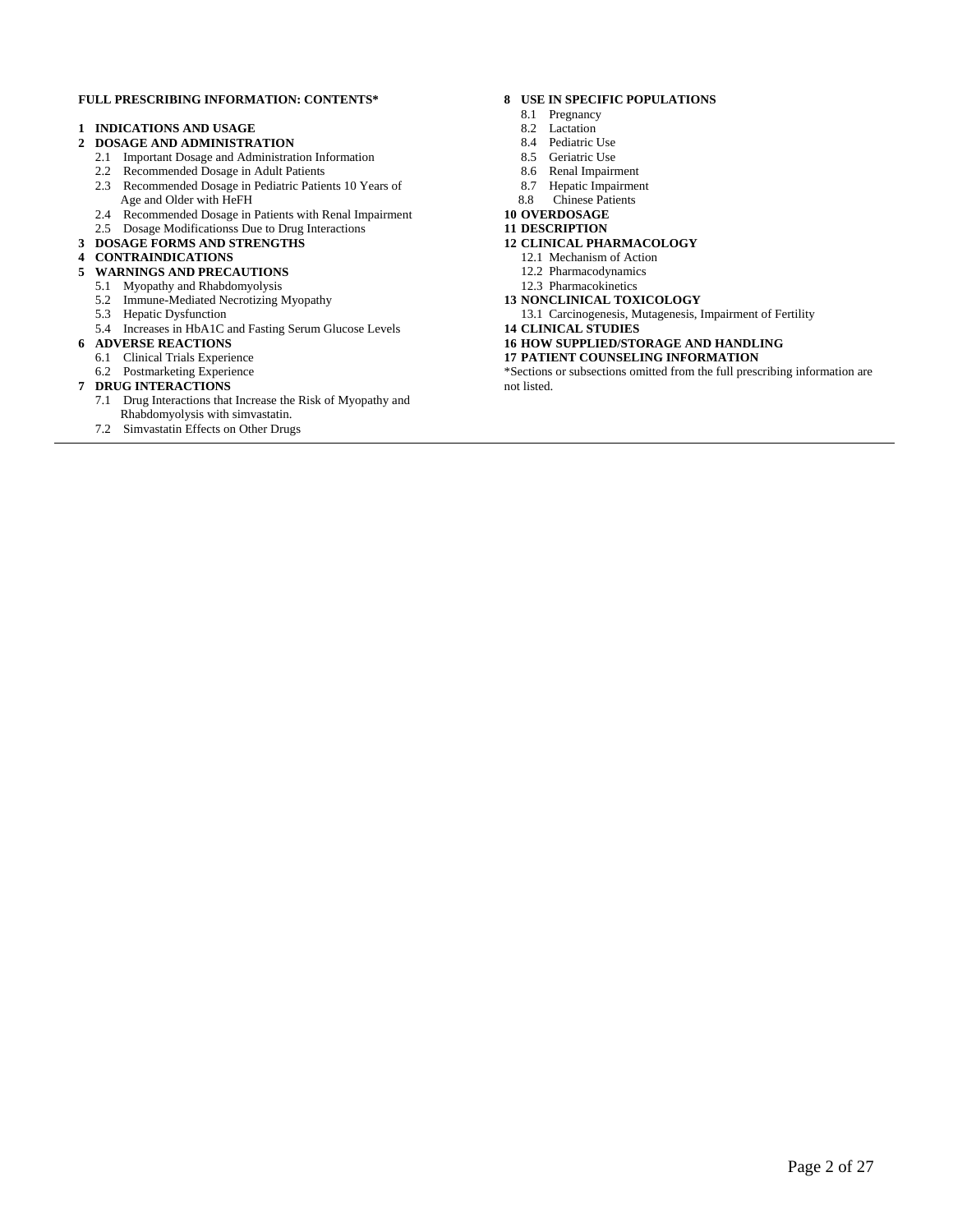#### <span id="page-3-0"></span>**FULL PRESCRIBING INFORMATION: CONTENTS\***

#### **1 INDICATIONS AND USAGE**

- **2 DOSAGE AND ADMINISTRATION** 
	- 2.1 Important Dosage and Administration Information
	- 2.2 Recommended Dosage in Adult Patients
	- 2.3 Recommended Dosage in Pediatric Patients 10 Years of Age and Older with HeFH
	- 2.4 Recommended Dosage in Patients with Renal Impairment
	- 2.5 Dosage Modificationss Due to Drug Interactions
- **3 DOSAGE FORMS AND STRENGTHS**

#### **4 CONTRAINDICATIONS**

- **5 WARNINGS AND PRECAUTIONS** 
	- 5.1 Myopathy and Rhabdomyolysis
	- 5.2 Immune-Mediated Necrotizing Myopathy
	- 5.3 Hepatic Dysfunction
	- 5.4 Increases in HbA1C and Fasting Serum Glucose Levels

#### **6 ADVERSE REACTIONS**

- 6.1 Clinical Trials Experience
- 6.2 Postmarketing Experience

#### **7 DRUG INTERACTIONS**

#### 7.1 Drug Interactions that Increase the Risk of Myopathy and Rhabdomyolysis with simvastatin.

7.2 Simvastatin Effects on Other Drugs

#### **8 USE IN SPECIFIC POPULATIONS**

- 8.1 Pregnancy
- 8.2 Lactation
- 8.4 Pediatric Use
- 8.5 Geriatric Use
- 8.6 Renal Impairment
- 8.7 Hepatic Impairment
- 8.8 Chinese Patients
- **10 OVERDOSAGE**
- **11 DESCRIPTION**
- **12 CLINICAL PHARMACOLOGY** 
	- 12.1 Mechanism of Action
	- 12.2 Pharmacodynamics
	- 12.3 Pharmacokinetics

#### **13 NONCLINICAL TOXICOLOGY**

- 13.1 Carcinogenesis, Mutagenesis, Impairment of Fertility **14 CLINICAL STUDIES**
- 
- **16 HOW SUPPLIED/STORAGE AND HANDLING**
- **17 PATIENT COUNSELING INFORMATION**

\*Sections or subsections omitted from the full prescribing information are not listed.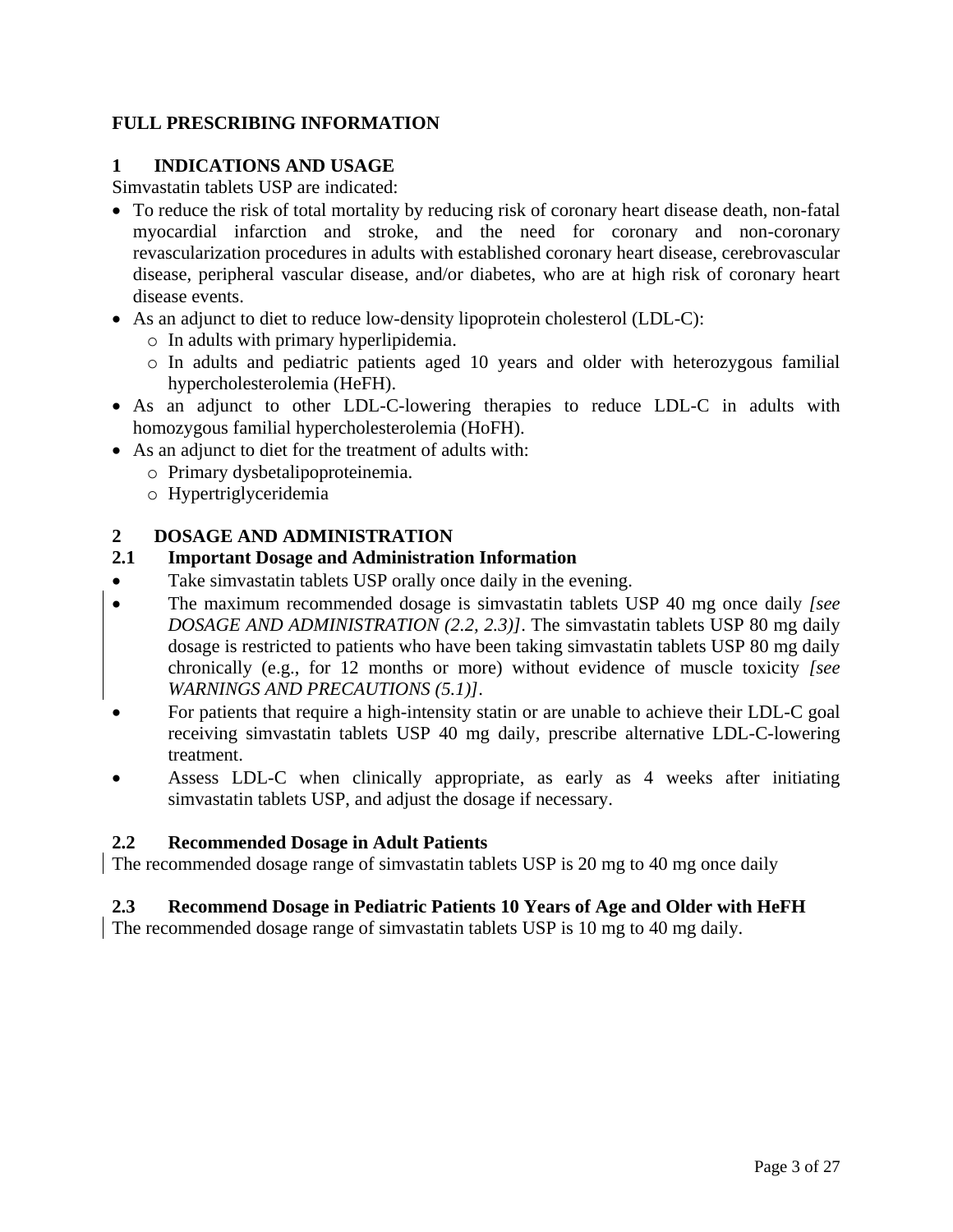# <span id="page-4-0"></span>**FULL PRESCRIBING INFORMATION**

# **1 INDICATIONS AND USAGE**

Simvastatin tablets USP are indicated:

- To reduce the risk of total mortality by reducing risk of coronary heart disease death, non-fatal myocardial infarction and stroke, and the need for coronary and non-coronary revascularization procedures in adults with established coronary heart disease, cerebrovascular disease, peripheral vascular disease, and/or diabetes, who are at high risk of coronary heart disease events.
- As an adjunct to diet to reduce low-density lipoprotein cholesterol (LDL-C):
	- o In adults with primary hyperlipidemia.
	- o In adults and pediatric patients aged 10 years and older with heterozygous familial hypercholesterolemia (HeFH).
- As an adjunct to other LDL-C-lowering therapies to reduce LDL-C in adults with homozygous familial hypercholesterolemia (HoFH).
- As an adjunct to diet for the treatment of adults with:
	- o Primary dysbetalipoproteinemia.
	- o Hypertriglyceridemia

# **2 DOSAGE AND ADMINISTRATION**

# **2.1 Important Dosage and Administration Information**

- Take simvastatin tablets USP orally once daily in the evening.
- The maximum recommended dosage is simvastatin tablets USP 40 mg once daily *[see DOSAGE AND ADMINISTRATION (2.2, 2.3)]*. The simvastatin tablets USP 80 mg daily dosage is restricted to patients who have been taking simvastatin tablets USP 80 mg daily chronically (e.g., for 12 months or more) without evidence of muscle toxicity *[see WARNINGS AND PRECAUTIONS (5.1)]*.
- For patients that require a high-intensity statin or are unable to achieve their LDL-C goal receiving simvastatin tablets USP 40 mg daily, prescribe alternative LDL-C-lowering treatment.
- Assess LDL-C when clinically appropriate, as early as 4 weeks after initiating simvastatin tablets USP, and adjust the dosage if necessary.

# **2.2 Recommended Dosage in Adult Patients**

The recommended dosage range of simvastatin tablets USP is 20 mg to 40 mg once daily

# **2.3 Recommend Dosage in Pediatric Patients 10 Years of Age and Older with HeFH**

The recommended dosage range of simvastatin tablets USP is 10 mg to 40 mg daily.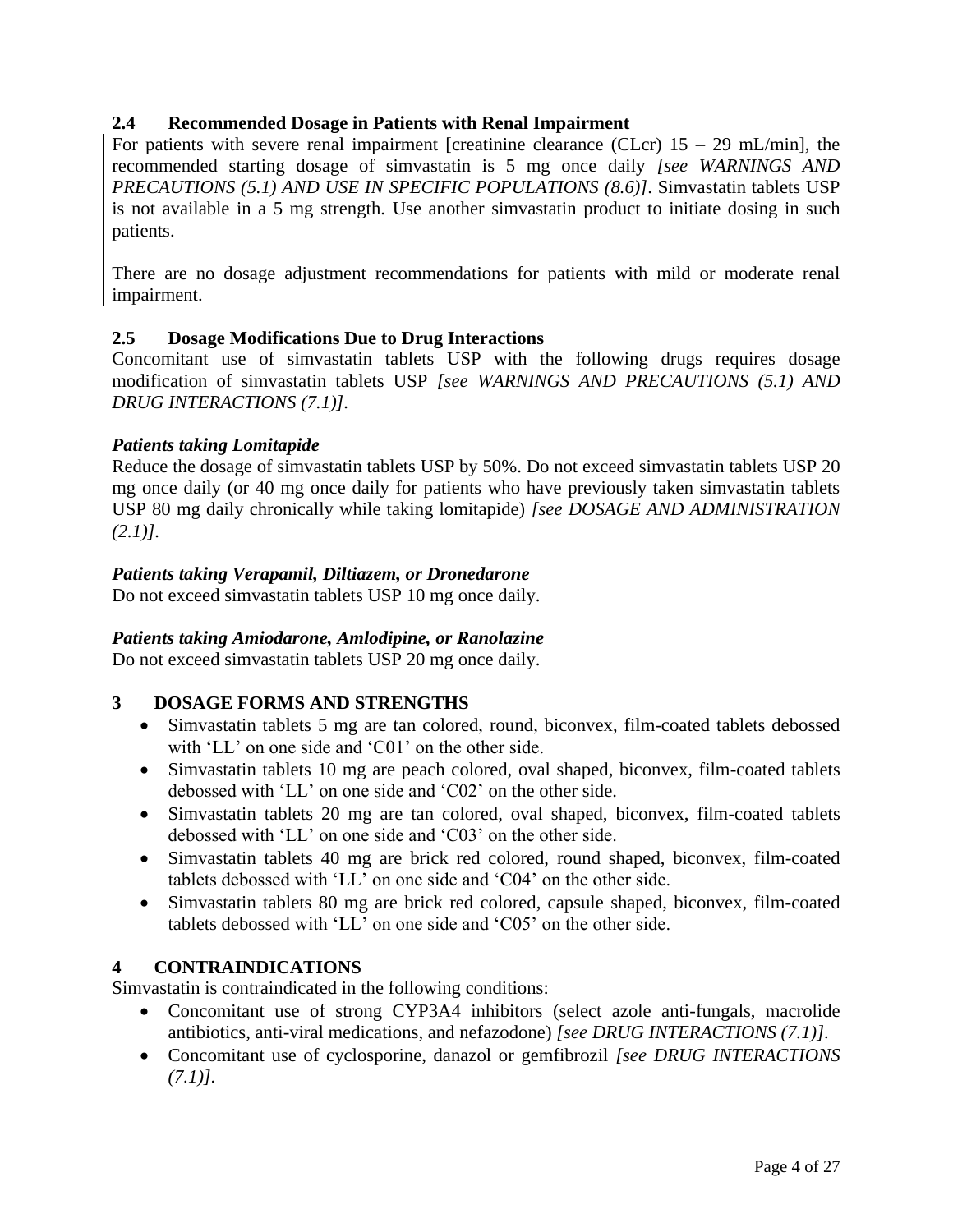# <span id="page-5-0"></span>**2.4 Recommended Dosage in Patients with Renal Impairment**

For patients with severe renal impairment [creatinine clearance (CLcr)  $15 - 29$  mL/min], the recommended starting dosage of simvastatin is 5 mg once daily *[see WARNINGS AND PRECAUTIONS (5.1) AND USE IN SPECIFIC POPULATIONS (8.6)]*. Simvastatin tablets USP is not available in a 5 mg strength. Use another simvastatin product to initiate dosing in such patients.

There are no dosage adjustment recommendations for patients with mild or moderate renal impairment.

# **2.5 Dosage Modifications Due to Drug Interactions**

Concomitant use of simvastatin tablets USP with the following drugs requires dosage modification of simvastatin tablets USP *[see WARNINGS AND PRECAUTIONS (5.1) AND DRUG INTERACTIONS (7.1)].*

# *Patients taking Lomitapide*

Reduce the dosage of simvastatin tablets USP by 50%. Do not exceed simvastatin tablets USP 20 mg once daily (or 40 mg once daily for patients who have previously taken simvastatin tablets USP 80 mg daily chronically while taking lomitapide) *[see DOSAGE AND ADMINISTRATION (2.1)].*

# *Patients taking Verapamil, Diltiazem, or Dronedarone*

Do not exceed simvastatin tablets USP 10 mg once daily.

# *Patients taking Amiodarone, Amlodipine, or Ranolazine*

Do not exceed simvastatin tablets USP 20 mg once daily.

# **3 DOSAGE FORMS AND STRENGTHS**

- Simvastatin tablets 5 mg are tan colored, round, biconvex, film-coated tablets debossed with 'LL' on one side and 'C01' on the other side.
- Simvastatin tablets 10 mg are peach colored, oval shaped, biconvex, film-coated tablets debossed with 'LL' on one side and 'C02' on the other side.
- Simvastatin tablets 20 mg are tan colored, oval shaped, biconvex, film-coated tablets debossed with 'LL' on one side and 'C03' on the other side.
- Simvastatin tablets 40 mg are brick red colored, round shaped, biconvex, film-coated tablets debossed with 'LL' on one side and 'C04' on the other side.
- Simvastatin tablets 80 mg are brick red colored, capsule shaped, biconvex, film-coated tablets debossed with 'LL' on one side and 'C05' on the other side.

# **4 CONTRAINDICATIONS**

Simvastatin is contraindicated in the following conditions:

- Concomitant use of strong CYP3A4 inhibitors (select azole anti-fungals, macrolide antibiotics, anti-viral medications, and nefazodone) *[see DRUG INTERACTIONS (7.1)].*
- Concomitant use of cyclosporine, danazol or gemfibrozil *[see DRUG INTERACTIONS (7.1)].*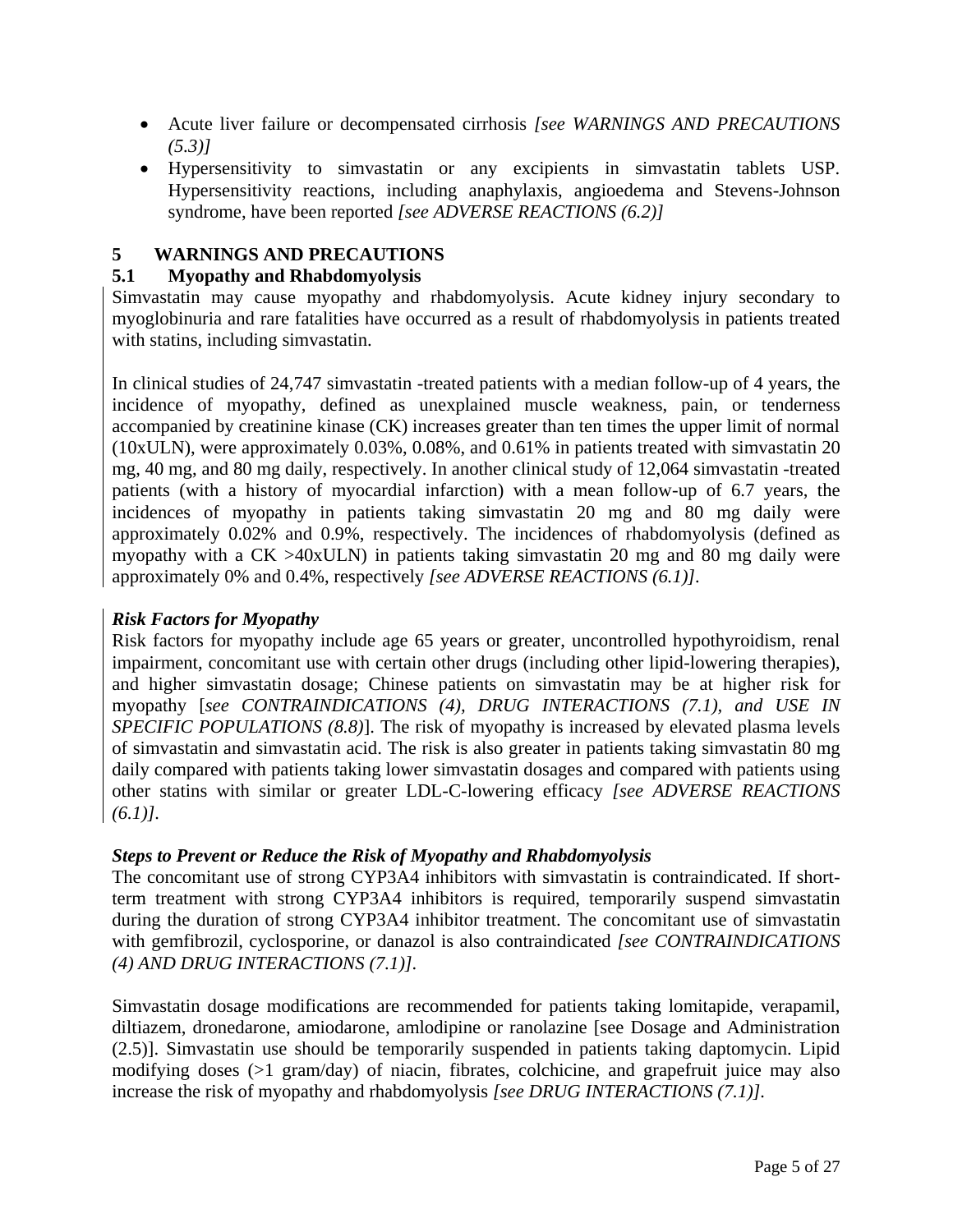- <span id="page-6-0"></span> Acute liver failure or decompensated cirrhosis *[see WARNINGS AND PRECAUTIONS (5.3)]*
- Hypersensitivity to simvastatin or any excipients in simvastatin tablets USP. Hypersensitivity reactions, including anaphylaxis, angioedema and Stevens-Johnson syndrome, have been reported *[see ADVERSE REACTIONS (6.2)]*

# **5 WARNINGS AND PRECAUTIONS**

### **5.1 Myopathy and Rhabdomyolysis**

Simvastatin may cause myopathy and rhabdomyolysis. Acute kidney injury secondary to myoglobinuria and rare fatalities have occurred as a result of rhabdomyolysis in patients treated with statins, including simvastatin.

In clinical studies of 24,747 simvastatin -treated patients with a median follow-up of 4 years, the incidence of myopathy, defined as unexplained muscle weakness, pain, or tenderness accompanied by creatinine kinase (CK) increases greater than ten times the upper limit of normal (10xULN), were approximately 0.03%, 0.08%, and 0.61% in patients treated with simvastatin 20 mg, 40 mg, and 80 mg daily, respectively. In another clinical study of 12,064 simvastatin -treated patients (with a history of myocardial infarction) with a mean follow-up of 6.7 years, the incidences of myopathy in patients taking simvastatin 20 mg and 80 mg daily were approximately 0.02% and 0.9%, respectively. The incidences of rhabdomyolysis (defined as myopathy with a CK >40xULN) in patients taking simvastatin 20 mg and 80 mg daily were approximately 0% and 0.4%, respectively *[see ADVERSE REACTIONS (6.1)].*

### *Risk Factors for Myopathy*

Risk factors for myopathy include age 65 years or greater, uncontrolled hypothyroidism, renal impairment, concomitant use with certain other drugs (including other lipid-lowering therapies), and higher simvastatin dosage; Chinese patients on simvastatin may be at higher risk for myopathy [*see CONTRAINDICATIONS (4), DRUG INTERACTIONS (7.1), and USE IN SPECIFIC POPULATIONS (8.8)*]. The risk of myopathy is increased by elevated plasma levels of simvastatin and simvastatin acid. The risk is also greater in patients taking simvastatin 80 mg daily compared with patients taking lower simvastatin dosages and compared with patients using other statins with similar or greater LDL-C-lowering efficacy *[see ADVERSE REACTIONS (6.1)].*

# *Steps to Prevent or Reduce the Risk of Myopathy and Rhabdomyolysis*

The concomitant use of strong CYP3A4 inhibitors with simvastatin is contraindicated. If shortterm treatment with strong CYP3A4 inhibitors is required, temporarily suspend simvastatin during the duration of strong CYP3A4 inhibitor treatment. The concomitant use of simvastatin with gemfibrozil, cyclosporine, or danazol is also contraindicated *[see CONTRAINDICATIONS (4) AND DRUG INTERACTIONS (7.1)].*

Simvastatin dosage modifications are recommended for patients taking lomitapide, verapamil, diltiazem, dronedarone, amiodarone, amlodipine or ranolazine [see Dosage and Administration (2.5)]. Simvastatin use should be temporarily suspended in patients taking daptomycin. Lipid modifying doses (>1 gram/day) of niacin, fibrates, colchicine, and grapefruit juice may also increase the risk of myopathy and rhabdomyolysis *[see DRUG INTERACTIONS (7.1)].*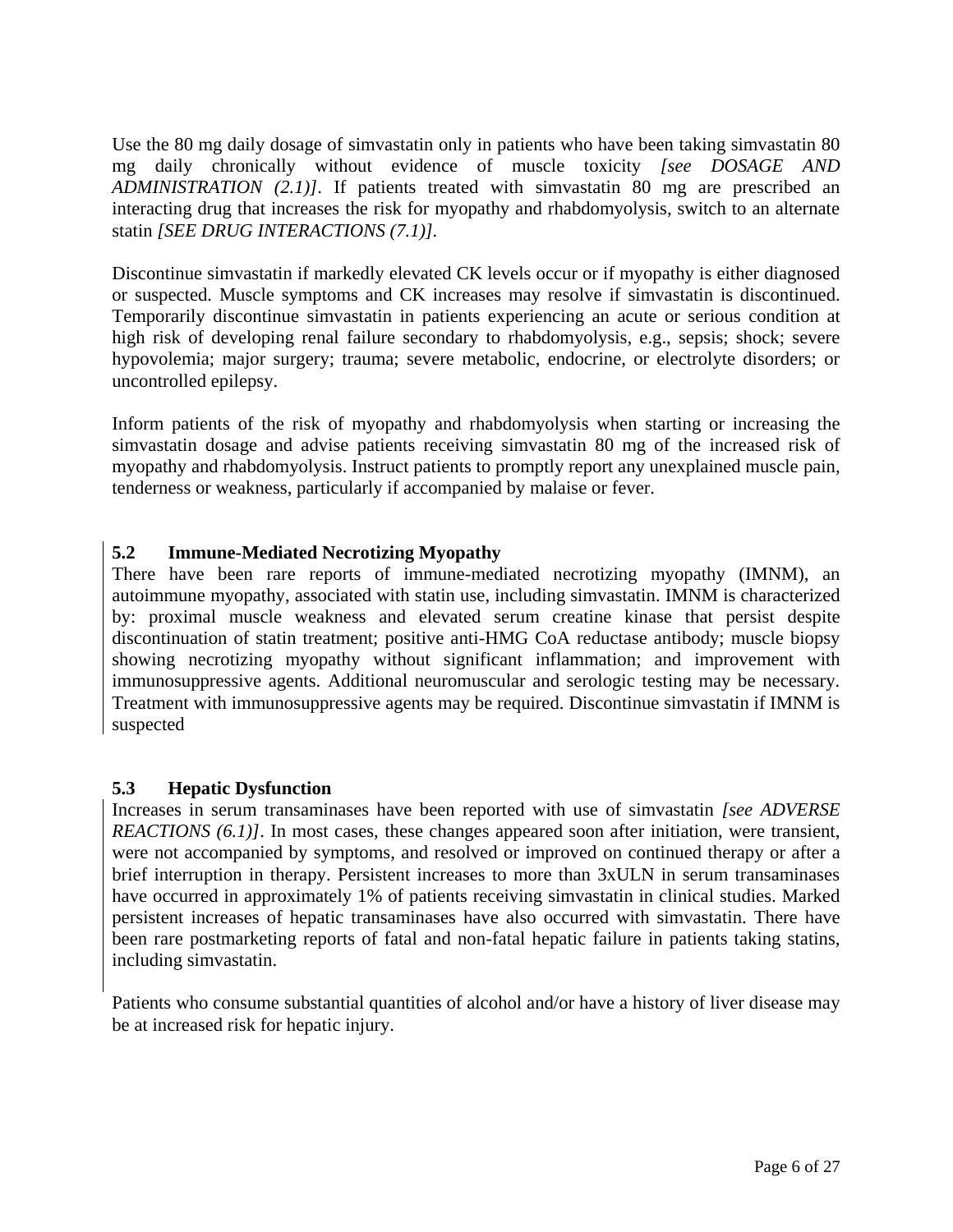<span id="page-7-0"></span>Use the 80 mg daily dosage of simvastatin only in patients who have been taking simvastatin 80 mg daily chronically without evidence of muscle toxicity *[see DOSAGE AND ADMINISTRATION (2.1)]*. If patients treated with simvastatin 80 mg are prescribed an interacting drug that increases the risk for myopathy and rhabdomyolysis, switch to an alternate statin *[SEE DRUG INTERACTIONS (7.1)].*

Discontinue simvastatin if markedly elevated CK levels occur or if myopathy is either diagnosed or suspected. Muscle symptoms and CK increases may resolve if simvastatin is discontinued. Temporarily discontinue simvastatin in patients experiencing an acute or serious condition at high risk of developing renal failure secondary to rhabdomyolysis, e.g., sepsis; shock; severe hypovolemia; major surgery; trauma; severe metabolic, endocrine, or electrolyte disorders; or uncontrolled epilepsy.

Inform patients of the risk of myopathy and rhabdomyolysis when starting or increasing the simvastatin dosage and advise patients receiving simvastatin 80 mg of the increased risk of myopathy and rhabdomyolysis. Instruct patients to promptly report any unexplained muscle pain, tenderness or weakness, particularly if accompanied by malaise or fever.

# **5.2 Immune-Mediated Necrotizing Myopathy**

There have been rare reports of immune-mediated necrotizing myopathy (IMNM), an autoimmune myopathy, associated with statin use, including simvastatin. IMNM is characterized by: proximal muscle weakness and elevated serum creatine kinase that persist despite discontinuation of statin treatment; positive anti-HMG CoA reductase antibody; muscle biopsy showing necrotizing myopathy without significant inflammation; and improvement with immunosuppressive agents. Additional neuromuscular and serologic testing may be necessary. Treatment with immunosuppressive agents may be required. Discontinue simvastatin if IMNM is suspected

# **5.3 Hepatic Dysfunction**

Increases in serum transaminases have been reported with use of simvastatin *[see ADVERSE REACTIONS* (6.1)]. In most cases, these changes appeared soon after initiation, were transient, were not accompanied by symptoms, and resolved or improved on continued therapy or after a brief interruption in therapy. Persistent increases to more than 3xULN in serum transaminases have occurred in approximately 1% of patients receiving simvastatin in clinical studies. Marked persistent increases of hepatic transaminases have also occurred with simvastatin. There have been rare postmarketing reports of fatal and non-fatal hepatic failure in patients taking statins, including simvastatin.

Patients who consume substantial quantities of alcohol and/or have a history of liver disease may be at increased risk for hepatic injury.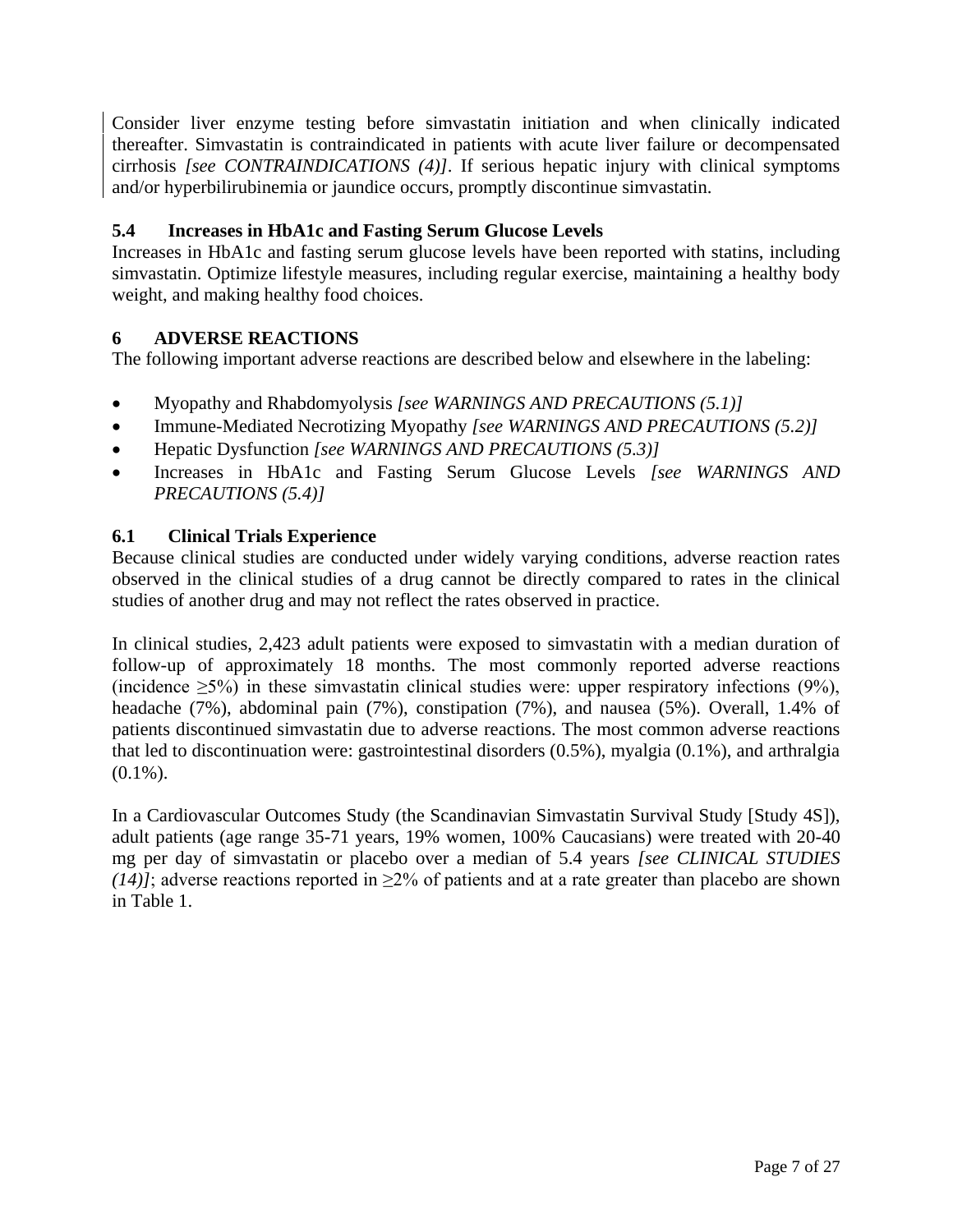<span id="page-8-0"></span>Consider liver enzyme testing before simvastatin initiation and when clinically indicated thereafter. Simvastatin is contraindicated in patients with acute liver failure or decompensated cirrhosis *[see CONTRAINDICATIONS (4)]*. If serious hepatic injury with clinical symptoms and/or hyperbilirubinemia or jaundice occurs, promptly discontinue simvastatin.

# **5.4 Increases in HbA1c and Fasting Serum Glucose Levels**

Increases in HbA1c and fasting serum glucose levels have been reported with statins, including simvastatin. Optimize lifestyle measures, including regular exercise, maintaining a healthy body weight, and making healthy food choices.

# **6 ADVERSE REACTIONS**

The following important adverse reactions are described below and elsewhere in the labeling:

- Myopathy and Rhabdomyolysis *[see WARNINGS AND PRECAUTIONS (5.1)]*
- Immune-Mediated Necrotizing Myopathy *[see WARNINGS AND PRECAUTIONS (5.2)]*
- Hepatic Dysfunction *[see WARNINGS AND PRECAUTIONS (5.3)]*
- Increases in HbA1c and Fasting Serum Glucose Levels *[see WARNINGS AND PRECAUTIONS (5.4)]*

# **6.1 Clinical Trials Experience**

Because clinical studies are conducted under widely varying conditions, adverse reaction rates observed in the clinical studies of a drug cannot be directly compared to rates in the clinical studies of another drug and may not reflect the rates observed in practice.

In clinical studies, 2,423 adult patients were exposed to simvastatin with a median duration of follow-up of approximately 18 months. The most commonly reported adverse reactions (incidence  $\geq 5\%$ ) in these simvastatin clinical studies were: upper respiratory infections (9%), headache (7%), abdominal pain (7%), constipation (7%), and nausea (5%). Overall, 1.4% of patients discontinued simvastatin due to adverse reactions. The most common adverse reactions that led to discontinuation were: gastrointestinal disorders (0.5%), myalgia (0.1%), and arthralgia  $(0.1\%)$ .

In a Cardiovascular Outcomes Study (the Scandinavian Simvastatin Survival Study [Study 4S]), adult patients (age range 35-71 years, 19% women, 100% Caucasians) were treated with 20-40 mg per day of simvastatin or placebo over a median of 5.4 years *[see CLINICAL STUDIES (14)]*; adverse reactions reported in  $\geq$ 2% of patients and at a rate greater than placebo are shown in Table 1.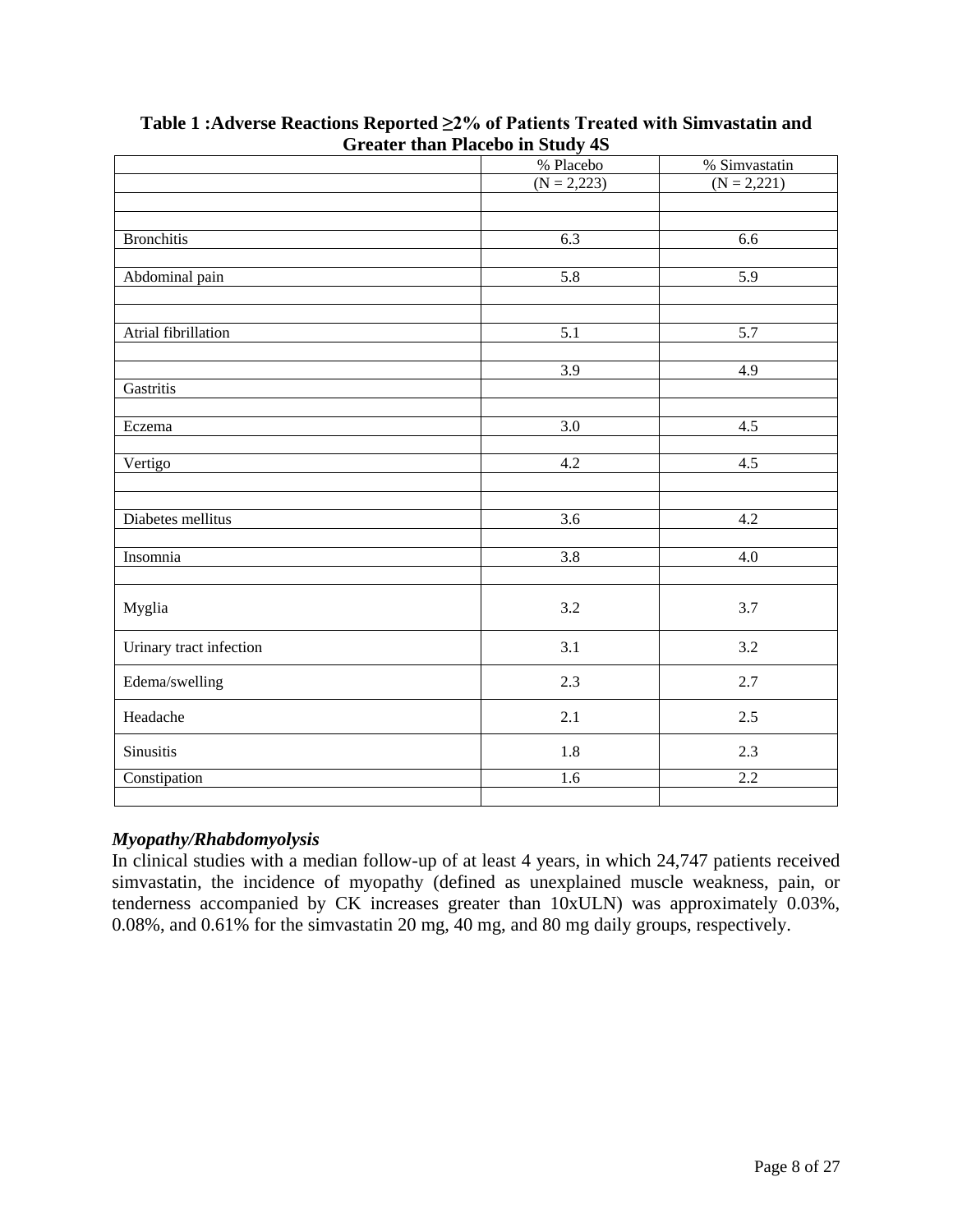|                         | % Placebo              | % Simvastatin    |
|-------------------------|------------------------|------------------|
|                         | $\overline{(N=2,223)}$ | $(N = 2,221)$    |
|                         |                        |                  |
|                         |                        |                  |
| <b>Bronchitis</b>       | 6.3                    | 6.6              |
|                         |                        |                  |
| Abdominal pain          | 5.8                    | 5.9              |
|                         |                        |                  |
|                         |                        |                  |
| Atrial fibrillation     | 5.1                    | 5.7              |
|                         |                        |                  |
|                         | 3.9                    | 4.9              |
| Gastritis               |                        |                  |
|                         |                        |                  |
| Eczema                  | 3.0                    | 4.5              |
|                         |                        |                  |
| Vertigo                 | 4.2                    | 4.5              |
|                         |                        |                  |
|                         |                        |                  |
| Diabetes mellitus       | 3.6                    | 4.2              |
|                         |                        |                  |
| Insomnia                | 3.8                    | 4.0              |
|                         |                        |                  |
| Myglia                  | 3.2                    | 3.7              |
|                         |                        |                  |
| Urinary tract infection | 3.1                    | 3.2              |
|                         |                        |                  |
| Edema/swelling          | 2.3                    | 2.7              |
| Headache                | 2.1                    | 2.5              |
| Sinusitis               | 1.8                    | 2.3              |
|                         |                        |                  |
| Constipation            | 1.6                    | $\overline{2.2}$ |
|                         |                        |                  |

# **Table 1 :Adverse Reactions Reported ≥2% of Patients Treated with Simvastatin and Greater than Placebo in Study 4S**

# *Myopathy/Rhabdomyolysis*

In clinical studies with a median follow-up of at least 4 years, in which 24,747 patients received simvastatin, the incidence of myopathy (defined as unexplained muscle weakness, pain, or tenderness accompanied by CK increases greater than 10xULN) was approximately 0.03%, 0.08%, and 0.61% for the simvastatin 20 mg, 40 mg, and 80 mg daily groups, respectively.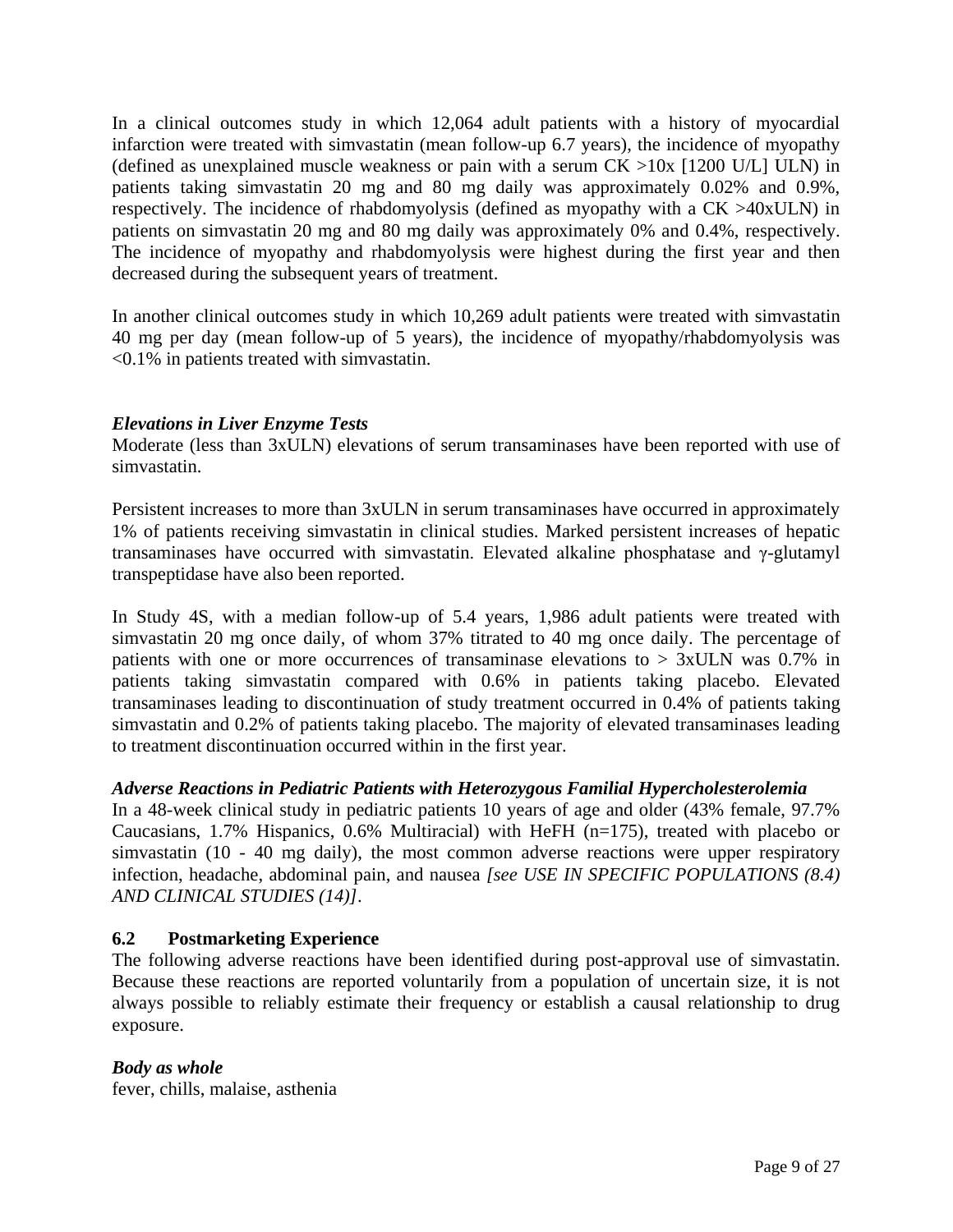<span id="page-10-0"></span>In a clinical outcomes study in which 12,064 adult patients with a history of myocardial infarction were treated with simvastatin (mean follow-up 6.7 years), the incidence of myopathy (defined as unexplained muscle weakness or pain with a serum  $CK > 10x$  [1200 U/L] ULN) in patients taking simvastatin 20 mg and 80 mg daily was approximately 0.02% and 0.9%, respectively. The incidence of rhabdomyolysis (defined as myopathy with a CK >40xULN) in patients on simvastatin 20 mg and 80 mg daily was approximately 0% and 0.4%, respectively. The incidence of myopathy and rhabdomyolysis were highest during the first year and then decreased during the subsequent years of treatment.

In another clinical outcomes study in which 10,269 adult patients were treated with simvastatin 40 mg per day (mean follow-up of 5 years), the incidence of myopathy/rhabdomyolysis was <0.1% in patients treated with simvastatin.

### *Elevations in Liver Enzyme Tests*

Moderate (less than 3xULN) elevations of serum transaminases have been reported with use of simvastatin.

Persistent increases to more than 3xULN in serum transaminases have occurred in approximately 1% of patients receiving simvastatin in clinical studies. Marked persistent increases of hepatic transaminases have occurred with simvastatin. Elevated alkaline phosphatase and γ-glutamyl transpeptidase have also been reported.

In Study 4S, with a median follow-up of 5.4 years, 1,986 adult patients were treated with simvastatin 20 mg once daily, of whom 37% titrated to 40 mg once daily. The percentage of patients with one or more occurrences of transaminase elevations to  $> 3xULN$  was 0.7% in patients taking simvastatin compared with 0.6% in patients taking placebo. Elevated transaminases leading to discontinuation of study treatment occurred in 0.4% of patients taking simvastatin and 0.2% of patients taking placebo. The majority of elevated transaminases leading to treatment discontinuation occurred within in the first year.

# *Adverse Reactions in Pediatric Patients with Heterozygous Familial Hypercholesterolemia*

In a 48-week clinical study in pediatric patients 10 years of age and older (43% female, 97.7% Caucasians, 1.7% Hispanics, 0.6% Multiracial) with HeFH (n=175), treated with placebo or simvastatin (10 - 40 mg daily), the most common adverse reactions were upper respiratory infection, headache, abdominal pain, and nausea *[see USE IN SPECIFIC POPULATIONS (8.4) AND CLINICAL STUDIES (14)]*.

#### **6.2 Postmarketing Experience**

The following adverse reactions have been identified during post-approval use of simvastatin. Because these reactions are reported voluntarily from a population of uncertain size, it is not always possible to reliably estimate their frequency or establish a causal relationship to drug exposure.

#### *Body as whole*

fever, chills, malaise, asthenia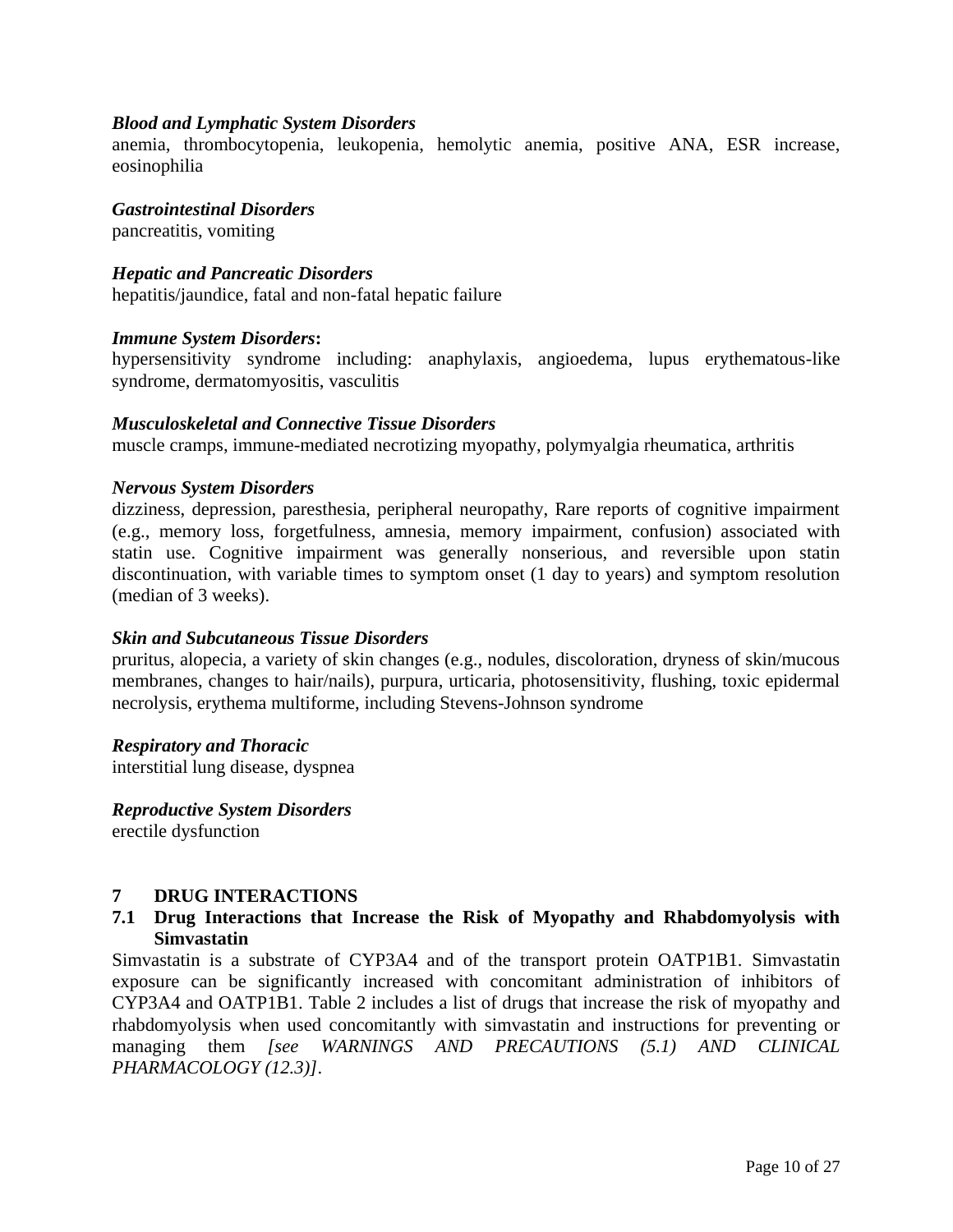#### <span id="page-11-0"></span>*Blood and Lymphatic System Disorders*

anemia, thrombocytopenia, leukopenia, hemolytic anemia, positive ANA, ESR increase, eosinophilia

#### *Gastrointestinal Disorders*

pancreatitis, vomiting

#### *Hepatic and Pancreatic Disorders*

hepatitis/jaundice, fatal and non-fatal hepatic failure

#### *Immune System Disorders***:**

hypersensitivity syndrome including: anaphylaxis, angioedema, lupus erythematous-like syndrome, dermatomyositis, vasculitis

#### *Musculoskeletal and Connective Tissue Disorders*

muscle cramps, immune-mediated necrotizing myopathy, polymyalgia rheumatica, arthritis

#### *Nervous System Disorders*

dizziness, depression, paresthesia, peripheral neuropathy, Rare reports of cognitive impairment (e.g., memory loss, forgetfulness, amnesia, memory impairment, confusion) associated with statin use. Cognitive impairment was generally nonserious, and reversible upon statin discontinuation, with variable times to symptom onset (1 day to years) and symptom resolution (median of 3 weeks).

#### *Skin and Subcutaneous Tissue Disorders*

pruritus, alopecia, a variety of skin changes (e.g., nodules, discoloration, dryness of skin/mucous membranes, changes to hair/nails), purpura, urticaria, photosensitivity, flushing, toxic epidermal necrolysis, erythema multiforme, including Stevens-Johnson syndrome

#### *Respiratory and Thoracic*

interstitial lung disease, dyspnea

*Reproductive System Disorders* erectile dysfunction

#### **7 DRUG INTERACTIONS**

#### **7.1 Drug Interactions that Increase the Risk of Myopathy and Rhabdomyolysis with Simvastatin**

Simvastatin is a substrate of CYP3A4 and of the transport protein OATP1B1. Simvastatin exposure can be significantly increased with concomitant administration of inhibitors of CYP3A4 and OATP1B1. Table 2 includes a list of drugs that increase the risk of myopathy and rhabdomyolysis when used concomitantly with simvastatin and instructions for preventing or managing them *[see WARNINGS AND PRECAUTIONS (5.1) AND CLINICAL PHARMACOLOGY (12.3)]*.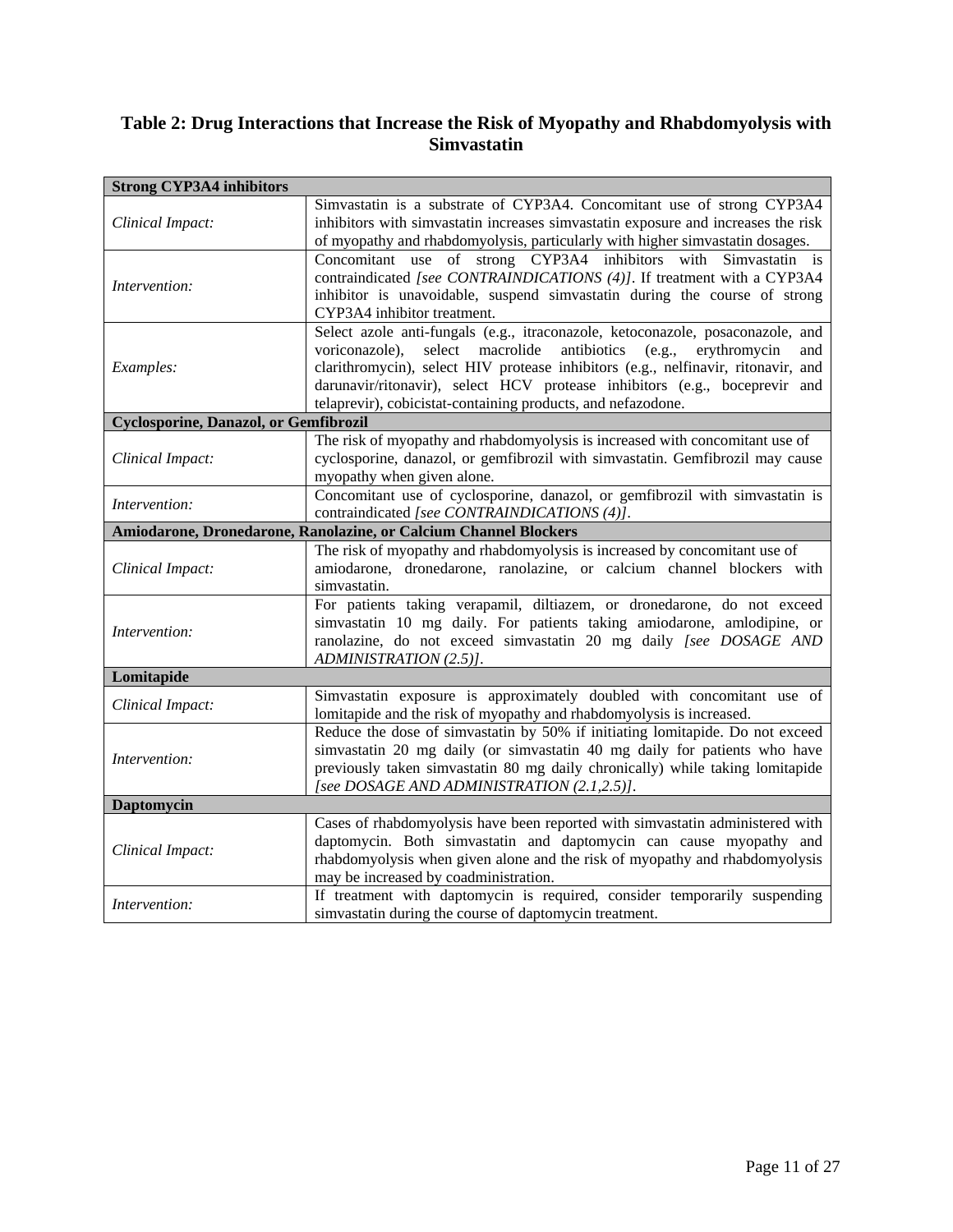# **Table 2: Drug Interactions that Increase the Risk of Myopathy and Rhabdomyolysis with Simvastatin**

| <b>Strong CYP3A4 inhibitors</b>              |                                                                                                                              |  |  |  |
|----------------------------------------------|------------------------------------------------------------------------------------------------------------------------------|--|--|--|
|                                              | Simvastatin is a substrate of CYP3A4. Concomitant use of strong CYP3A4                                                       |  |  |  |
| Clinical Impact:                             | inhibitors with simvastatin increases simvastatin exposure and increases the risk                                            |  |  |  |
|                                              | of myopathy and rhabdomyolysis, particularly with higher simvastatin dosages.                                                |  |  |  |
|                                              | Concomitant use of strong CYP3A4 inhibitors<br>with<br>Simvastatin is                                                        |  |  |  |
| Intervention:                                | contraindicated [see CONTRAINDICATIONS (4)]. If treatment with a CYP3A4                                                      |  |  |  |
|                                              | inhibitor is unavoidable, suspend simvastatin during the course of strong                                                    |  |  |  |
|                                              | CYP3A4 inhibitor treatment.                                                                                                  |  |  |  |
|                                              | Select azole anti-fungals (e.g., itraconazole, ketoconazole, posaconazole, and                                               |  |  |  |
|                                              | select macrolide<br>antibiotics (e.g.,<br>erythromycin<br>voriconazole),<br>and                                              |  |  |  |
| Examples:                                    | clarithromycin), select HIV protease inhibitors (e.g., nelfinavir, ritonavir, and                                            |  |  |  |
|                                              | darunavir/ritonavir), select HCV protease inhibitors (e.g., boceprevir and                                                   |  |  |  |
|                                              | telaprevir), cobicistat-containing products, and nefazodone.                                                                 |  |  |  |
| <b>Cyclosporine, Danazol, or Gemfibrozil</b> |                                                                                                                              |  |  |  |
|                                              | The risk of myopathy and rhabdomyolysis is increased with concomitant use of                                                 |  |  |  |
| Clinical Impact:                             | cyclosporine, danazol, or gemfibrozil with simvastatin. Gemfibrozil may cause                                                |  |  |  |
|                                              | myopathy when given alone.                                                                                                   |  |  |  |
| Intervention:                                | Concomitant use of cyclosporine, danazol, or gemfibrozil with simvastatin is<br>contraindicated [see CONTRAINDICATIONS (4)]. |  |  |  |
|                                              | Amiodarone, Dronedarone, Ranolazine, or Calcium Channel Blockers                                                             |  |  |  |
|                                              | The risk of myopathy and rhabdomyolysis is increased by concomitant use of                                                   |  |  |  |
| Clinical Impact:                             | amiodarone, dronedarone, ranolazine, or calcium channel blockers with                                                        |  |  |  |
|                                              | simvastatin.                                                                                                                 |  |  |  |
|                                              | For patients taking verapamil, diltiazem, or dronedarone, do not exceed                                                      |  |  |  |
|                                              | simvastatin 10 mg daily. For patients taking amiodarone, amlodipine, or                                                      |  |  |  |
| Intervention:                                | ranolazine, do not exceed simvastatin 20 mg daily [see DOSAGE AND                                                            |  |  |  |
|                                              | ADMINISTRATION (2.5)].                                                                                                       |  |  |  |
| Lomitapide                                   |                                                                                                                              |  |  |  |
|                                              | Simvastatin exposure is approximately doubled with concomitant use of                                                        |  |  |  |
| Clinical Impact:                             | lomitapide and the risk of myopathy and rhabdomyolysis is increased.                                                         |  |  |  |
|                                              | Reduce the dose of simvastatin by 50% if initiating lomitapide. Do not exceed                                                |  |  |  |
| Intervention:                                | simvastatin 20 mg daily (or simvastatin 40 mg daily for patients who have                                                    |  |  |  |
|                                              | previously taken simvastatin 80 mg daily chronically) while taking lomitapide                                                |  |  |  |
|                                              | [see DOSAGE AND ADMINISTRATION (2.1,2.5)].                                                                                   |  |  |  |
| <b>Daptomycin</b>                            |                                                                                                                              |  |  |  |
|                                              | Cases of rhabdomyolysis have been reported with simvastatin administered with                                                |  |  |  |
| Clinical Impact:                             | daptomycin. Both simvastatin and daptomycin can cause myopathy and                                                           |  |  |  |
|                                              | rhabdomyolysis when given alone and the risk of myopathy and rhabdomyolysis                                                  |  |  |  |
|                                              | may be increased by coadministration.                                                                                        |  |  |  |
| Intervention:                                | If treatment with daptomycin is required, consider temporarily suspending                                                    |  |  |  |
|                                              | simvastatin during the course of daptomycin treatment.                                                                       |  |  |  |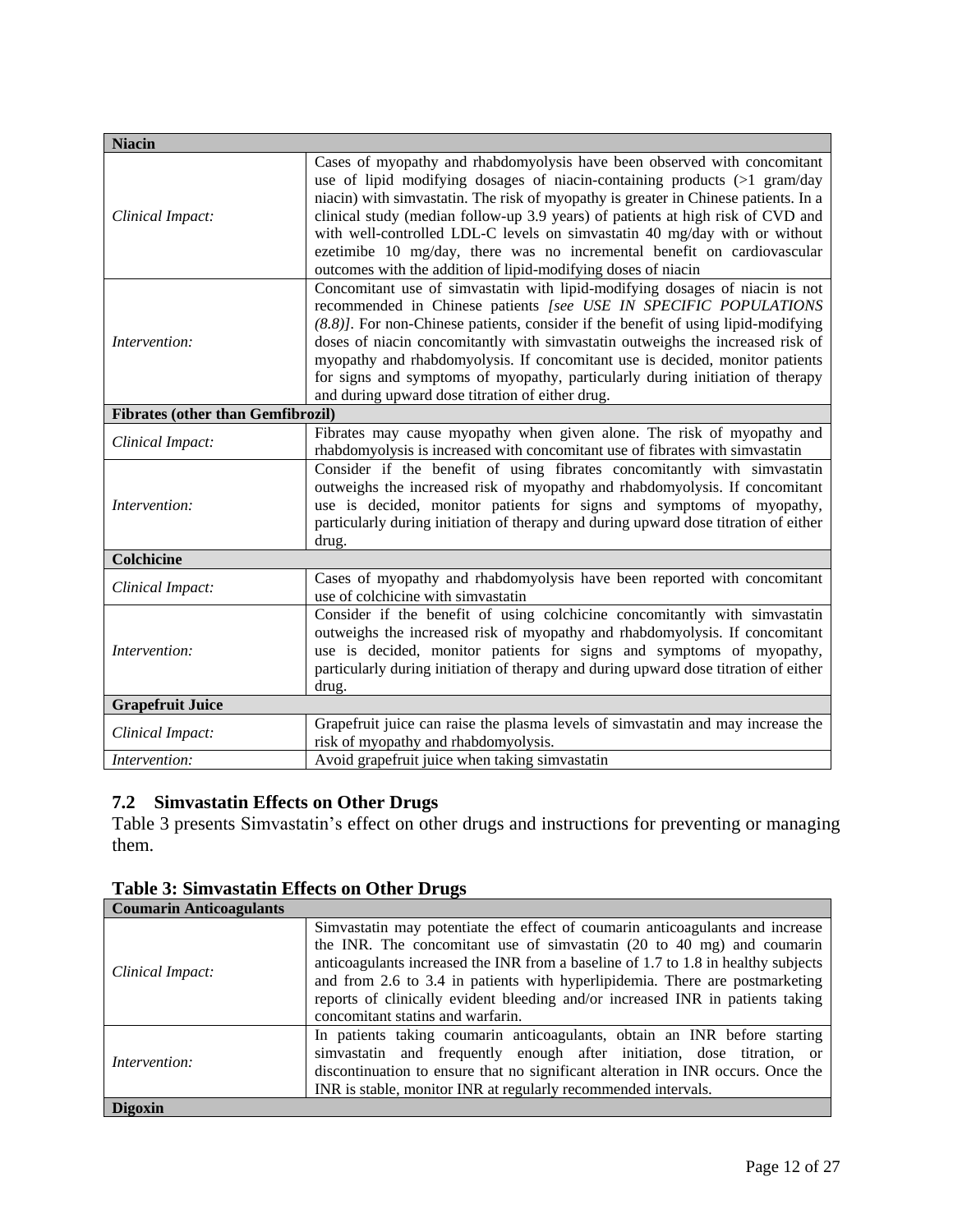<span id="page-13-0"></span>

| <b>Niacin</b>                            |                                                                                                                                                                                                                                                                                                                                                                                                                                                                                                                                                             |
|------------------------------------------|-------------------------------------------------------------------------------------------------------------------------------------------------------------------------------------------------------------------------------------------------------------------------------------------------------------------------------------------------------------------------------------------------------------------------------------------------------------------------------------------------------------------------------------------------------------|
| Clinical Impact:                         | Cases of myopathy and rhabdomyolysis have been observed with concomitant<br>use of lipid modifying dosages of niacin-containing products $(>1$ gram/day<br>niacin) with simvastatin. The risk of myopathy is greater in Chinese patients. In a<br>clinical study (median follow-up 3.9 years) of patients at high risk of CVD and<br>with well-controlled LDL-C levels on simvastatin 40 mg/day with or without<br>ezetimibe 10 mg/day, there was no incremental benefit on cardiovascular<br>outcomes with the addition of lipid-modifying doses of niacin |
| Intervention:                            | Concomitant use of simvastatin with lipid-modifying dosages of niacin is not<br>recommended in Chinese patients [see USE IN SPECIFIC POPULATIONS<br>$(8.8)$ ]. For non-Chinese patients, consider if the benefit of using lipid-modifying<br>doses of niacin concomitantly with simvastatin outweighs the increased risk of<br>myopathy and rhabdomyolysis. If concomitant use is decided, monitor patients<br>for signs and symptoms of myopathy, particularly during initiation of therapy<br>and during upward dose titration of either drug.            |
| <b>Fibrates (other than Gemfibrozil)</b> |                                                                                                                                                                                                                                                                                                                                                                                                                                                                                                                                                             |
| Clinical Impact:                         | Fibrates may cause myopathy when given alone. The risk of myopathy and<br>rhabdomyolysis is increased with concomitant use of fibrates with simvastatin                                                                                                                                                                                                                                                                                                                                                                                                     |
| Intervention:                            | Consider if the benefit of using fibrates concomitantly with simvastatin<br>outweighs the increased risk of myopathy and rhabdomyolysis. If concomitant<br>use is decided, monitor patients for signs and symptoms of myopathy,<br>particularly during initiation of therapy and during upward dose titration of either<br>drug.                                                                                                                                                                                                                            |
| <b>Colchicine</b>                        |                                                                                                                                                                                                                                                                                                                                                                                                                                                                                                                                                             |
| Clinical Impact:                         | Cases of myopathy and rhabdomyolysis have been reported with concomitant<br>use of colchicine with simvastatin                                                                                                                                                                                                                                                                                                                                                                                                                                              |
| Intervention:                            | Consider if the benefit of using colchicine concomitantly with simvastatin<br>outweighs the increased risk of myopathy and rhabdomyolysis. If concomitant<br>use is decided, monitor patients for signs and symptoms of myopathy,<br>particularly during initiation of therapy and during upward dose titration of either<br>drug.                                                                                                                                                                                                                          |
| <b>Grapefruit Juice</b>                  |                                                                                                                                                                                                                                                                                                                                                                                                                                                                                                                                                             |
| Clinical Impact:                         | Grapefruit juice can raise the plasma levels of simvastatin and may increase the<br>risk of myopathy and rhabdomyolysis.                                                                                                                                                                                                                                                                                                                                                                                                                                    |
| Intervention:                            | Avoid grapefruit juice when taking simvastatin                                                                                                                                                                                                                                                                                                                                                                                                                                                                                                              |

# **7.2 Simvastatin Effects on Other Drugs**

Table 3 presents Simvastatin's effect on other drugs and instructions for preventing or managing them.

| <b>Table 3: Simvastatin Effects on Other Drugs</b> |  |  |
|----------------------------------------------------|--|--|
|----------------------------------------------------|--|--|

| <b>Coumarin Anticoagulants</b> |                                                                                           |
|--------------------------------|-------------------------------------------------------------------------------------------|
|                                | Simvastatin may potentiate the effect of coumarin anticoagulants and increase             |
|                                | the INR. The concomitant use of simvastatin $(20 \text{ to } 40 \text{ mg})$ and coumarin |
|                                | anticoagulants increased the INR from a baseline of 1.7 to 1.8 in healthy subjects        |
| Clinical Impact:               | and from 2.6 to 3.4 in patients with hyperlipidemia. There are postmarketing              |
|                                | reports of clinically evident bleeding and/or increased INR in patients taking            |
|                                | concomitant stating and warfarin.                                                         |
|                                | In patients taking coumarin anticoagulants, obtain an INR before starting                 |
| Intervention:                  | simvastatin and frequently enough after initiation, dose titration, or                    |
|                                | discontinuation to ensure that no significant alteration in INR occurs. Once the          |
|                                | INR is stable, monitor INR at regularly recommended intervals.                            |
| <b>Digoxin</b>                 |                                                                                           |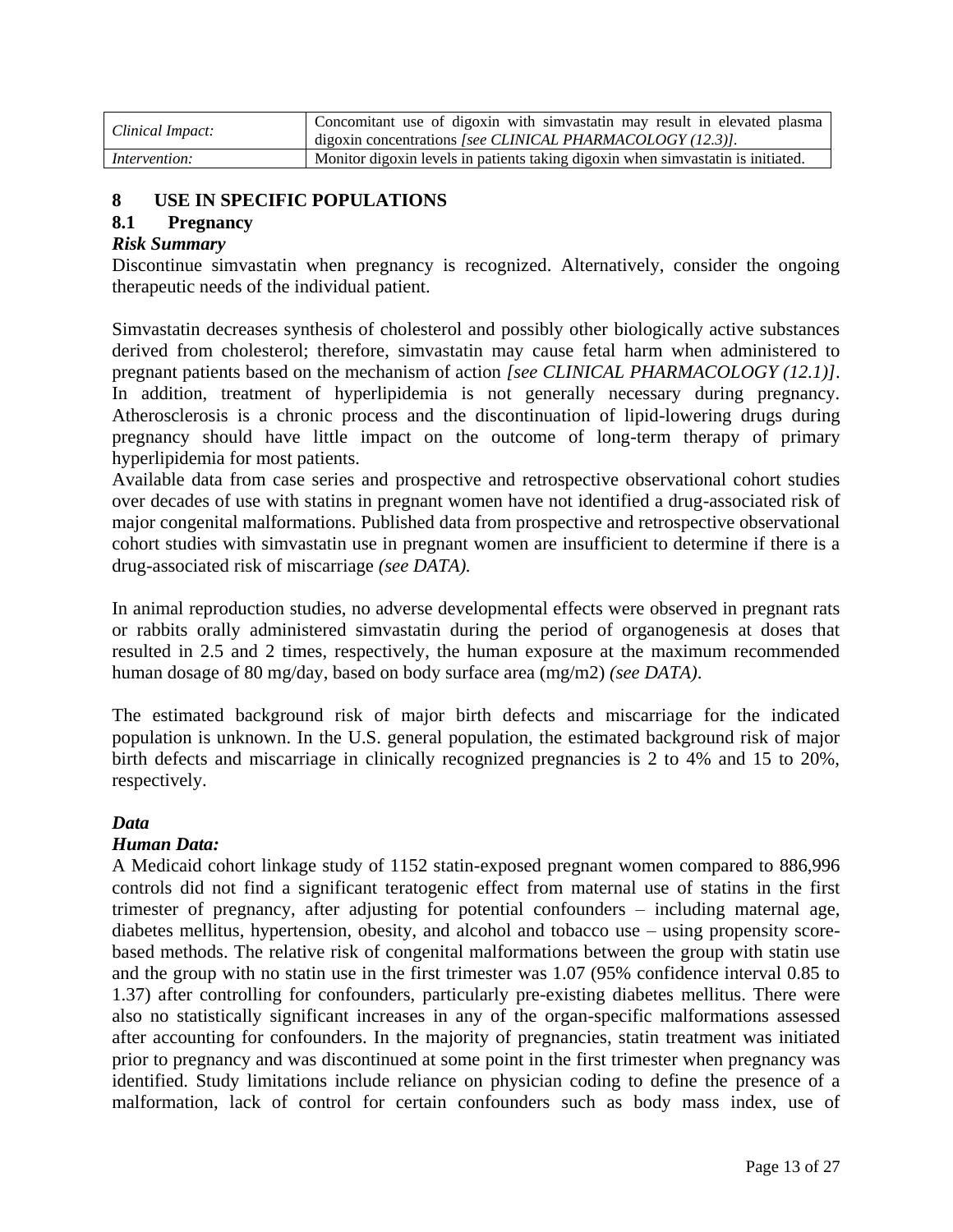<span id="page-14-0"></span>

| Clinical Impact:     | Concomitant use of digoxin with simvastatin may result in elevated plasma<br>digoxin concentrations [see CLINICAL PHARMACOLOGY (12.3)]. |  |  |
|----------------------|-----------------------------------------------------------------------------------------------------------------------------------------|--|--|
| <i>Intervention:</i> | Monitor digoxin levels in patients taking digoxin when simvastatin is initiated.                                                        |  |  |

### **8 USE IN SPECIFIC POPULATIONS**

# **8.1 Pregnancy**

# *Risk Summary*

Discontinue simvastatin when pregnancy is recognized. Alternatively, consider the ongoing therapeutic needs of the individual patient.

Simvastatin decreases synthesis of cholesterol and possibly other biologically active substances derived from cholesterol; therefore, simvastatin may cause fetal harm when administered to pregnant patients based on the mechanism of action *[see CLINICAL PHARMACOLOGY (12.1)]*. In addition, treatment of hyperlipidemia is not generally necessary during pregnancy. Atherosclerosis is a chronic process and the discontinuation of lipid-lowering drugs during pregnancy should have little impact on the outcome of long-term therapy of primary hyperlipidemia for most patients.

Available data from case series and prospective and retrospective observational cohort studies over decades of use with statins in pregnant women have not identified a drug-associated risk of major congenital malformations. Published data from prospective and retrospective observational cohort studies with simvastatin use in pregnant women are insufficient to determine if there is a drug-associated risk of miscarriage *(see DATA).*

In animal reproduction studies, no adverse developmental effects were observed in pregnant rats or rabbits orally administered simvastatin during the period of organogenesis at doses that resulted in 2.5 and 2 times, respectively, the human exposure at the maximum recommended human dosage of 80 mg/day, based on body surface area (mg/m2) *(see DATA)*.

The estimated background risk of major birth defects and miscarriage for the indicated population is unknown. In the U.S. general population, the estimated background risk of major birth defects and miscarriage in clinically recognized pregnancies is 2 to 4% and 15 to 20%, respectively.

# *Data*

#### *Human Data:*

A Medicaid cohort linkage study of 1152 statin-exposed pregnant women compared to 886,996 controls did not find a significant teratogenic effect from maternal use of statins in the first trimester of pregnancy, after adjusting for potential confounders – including maternal age, diabetes mellitus, hypertension, obesity, and alcohol and tobacco use – using propensity scorebased methods. The relative risk of congenital malformations between the group with statin use and the group with no statin use in the first trimester was 1.07 (95% confidence interval 0.85 to 1.37) after controlling for confounders, particularly pre-existing diabetes mellitus. There were also no statistically significant increases in any of the organ-specific malformations assessed after accounting for confounders. In the majority of pregnancies, statin treatment was initiated prior to pregnancy and was discontinued at some point in the first trimester when pregnancy was identified. Study limitations include reliance on physician coding to define the presence of a malformation, lack of control for certain confounders such as body mass index, use of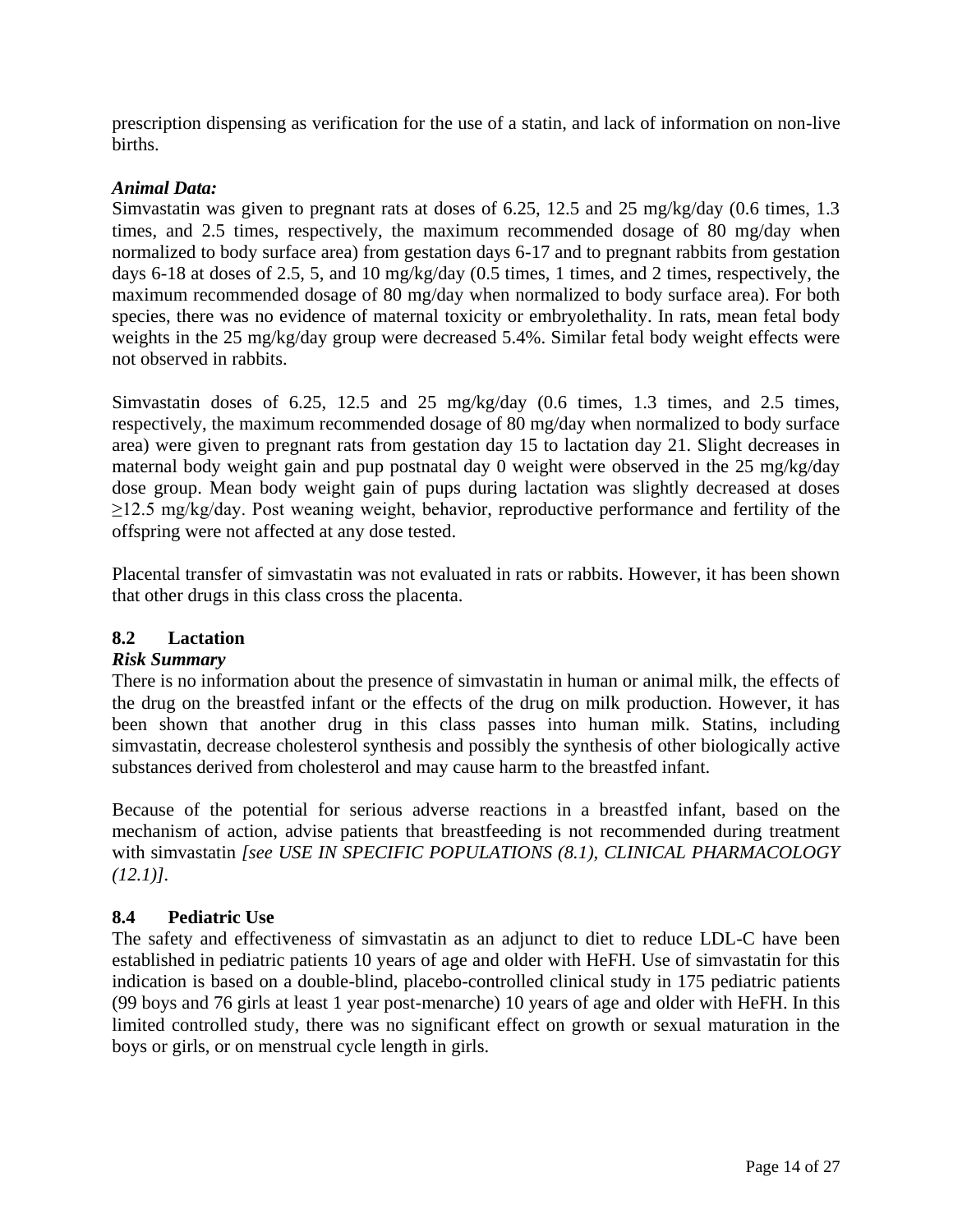<span id="page-15-0"></span>prescription dispensing as verification for the use of a statin, and lack of information on non-live births.

#### *Animal Data:*

Simvastatin was given to pregnant rats at doses of 6.25, 12.5 and 25 mg/kg/day (0.6 times, 1.3 times, and 2.5 times, respectively, the maximum recommended dosage of 80 mg/day when normalized to body surface area) from gestation days 6-17 and to pregnant rabbits from gestation days 6-18 at doses of 2.5, 5, and 10 mg/kg/day (0.5 times, 1 times, and 2 times, respectively, the maximum recommended dosage of 80 mg/day when normalized to body surface area). For both species, there was no evidence of maternal toxicity or embryolethality. In rats, mean fetal body weights in the 25 mg/kg/day group were decreased 5.4%. Similar fetal body weight effects were not observed in rabbits.

Simvastatin doses of 6.25, 12.5 and 25 mg/kg/day (0.6 times, 1.3 times, and 2.5 times, respectively, the maximum recommended dosage of 80 mg/day when normalized to body surface area) were given to pregnant rats from gestation day 15 to lactation day 21. Slight decreases in maternal body weight gain and pup postnatal day 0 weight were observed in the 25 mg/kg/day dose group. Mean body weight gain of pups during lactation was slightly decreased at doses ≥12.5 mg/kg/day. Post weaning weight, behavior, reproductive performance and fertility of the offspring were not affected at any dose tested.

Placental transfer of simvastatin was not evaluated in rats or rabbits. However, it has been shown that other drugs in this class cross the placenta.

# **8.2 Lactation**

# *Risk Summary*

There is no information about the presence of simvastatin in human or animal milk, the effects of the drug on the breastfed infant or the effects of the drug on milk production. However, it has been shown that another drug in this class passes into human milk. Statins, including simvastatin, decrease cholesterol synthesis and possibly the synthesis of other biologically active substances derived from cholesterol and may cause harm to the breastfed infant.

Because of the potential for serious adverse reactions in a breastfed infant, based on the mechanism of action, advise patients that breastfeeding is not recommended during treatment with simvastatin *[see USE IN SPECIFIC POPULATIONS (8.1), CLINICAL PHARMACOLOGY (12.1)].*

# **8.4 Pediatric Use**

The safety and effectiveness of simvastatin as an adjunct to diet to reduce LDL-C have been established in pediatric patients 10 years of age and older with HeFH. Use of simvastatin for this indication is based on a double-blind, placebo-controlled clinical study in 175 pediatric patients (99 boys and 76 girls at least 1 year post-menarche) 10 years of age and older with HeFH. In this limited controlled study, there was no significant effect on growth or sexual maturation in the boys or girls, or on menstrual cycle length in girls.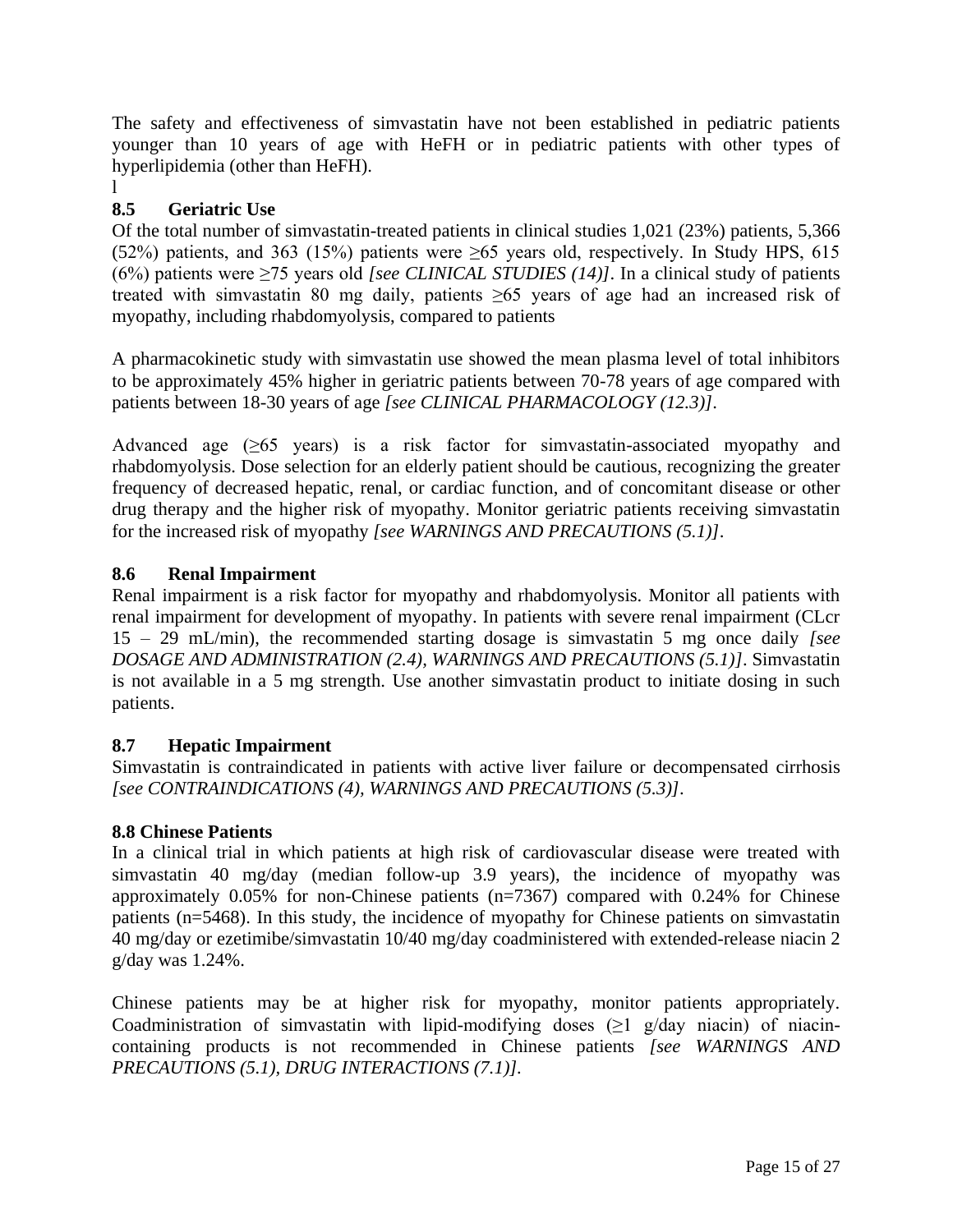<span id="page-16-0"></span>The safety and effectiveness of simvastatin have not been established in pediatric patients younger than 10 years of age with HeFH or in pediatric patients with other types of hyperlipidemia (other than HeFH).

#### l

# **8.5 Geriatric Use**

Of the total number of simvastatin-treated patients in clinical studies 1,021 (23%) patients, 5,366 (52%) patients, and 363 (15%) patients were  $\geq 65$  years old, respectively. In Study HPS, 615 (6%) patients were ≥75 years old *[see CLINICAL STUDIES (14)]*. In a clinical study of patients treated with simvastatin 80 mg daily, patients  $\geq 65$  years of age had an increased risk of myopathy, including rhabdomyolysis, compared to patients

A pharmacokinetic study with simvastatin use showed the mean plasma level of total inhibitors to be approximately 45% higher in geriatric patients between 70-78 years of age compared with patients between 18-30 years of age *[see CLINICAL PHARMACOLOGY (12.3)]*.

Advanced age  $(\geq 65$  years) is a risk factor for simvastatin-associated myopathy and rhabdomyolysis. Dose selection for an elderly patient should be cautious, recognizing the greater frequency of decreased hepatic, renal, or cardiac function, and of concomitant disease or other drug therapy and the higher risk of myopathy. Monitor geriatric patients receiving simvastatin for the increased risk of myopathy *[see WARNINGS AND PRECAUTIONS (5.1)]*.

# **8.6 Renal Impairment**

Renal impairment is a risk factor for myopathy and rhabdomyolysis. Monitor all patients with renal impairment for development of myopathy. In patients with severe renal impairment (CLcr 15 – 29 mL/min), the recommended starting dosage is simvastatin 5 mg once daily *[see DOSAGE AND ADMINISTRATION (2.4), WARNINGS AND PRECAUTIONS (5.1)]*. Simvastatin is not available in a 5 mg strength. Use another simvastatin product to initiate dosing in such patients.

# **8.7 Hepatic Impairment**

Simvastatin is contraindicated in patients with active liver failure or decompensated cirrhosis *[see CONTRAINDICATIONS (4), WARNINGS AND PRECAUTIONS (5.3)]*.

# **8.8 Chinese Patients**

In a clinical trial in which patients at high risk of cardiovascular disease were treated with simvastatin 40 mg/day (median follow-up 3.9 years), the incidence of myopathy was approximately 0.05% for non-Chinese patients (n=7367) compared with 0.24% for Chinese patients (n=5468). In this study, the incidence of myopathy for Chinese patients on simvastatin 40 mg/day or ezetimibe/simvastatin 10/40 mg/day coadministered with extended-release niacin 2 g/day was 1.24%.

Chinese patients may be at higher risk for myopathy, monitor patients appropriately. Coadministration of simvastatin with lipid-modifying doses  $(\geq 1 \text{ g/day niacin})$  of niacincontaining products is not recommended in Chinese patients *[see WARNINGS AND PRECAUTIONS (5.1), DRUG INTERACTIONS (7.1)].*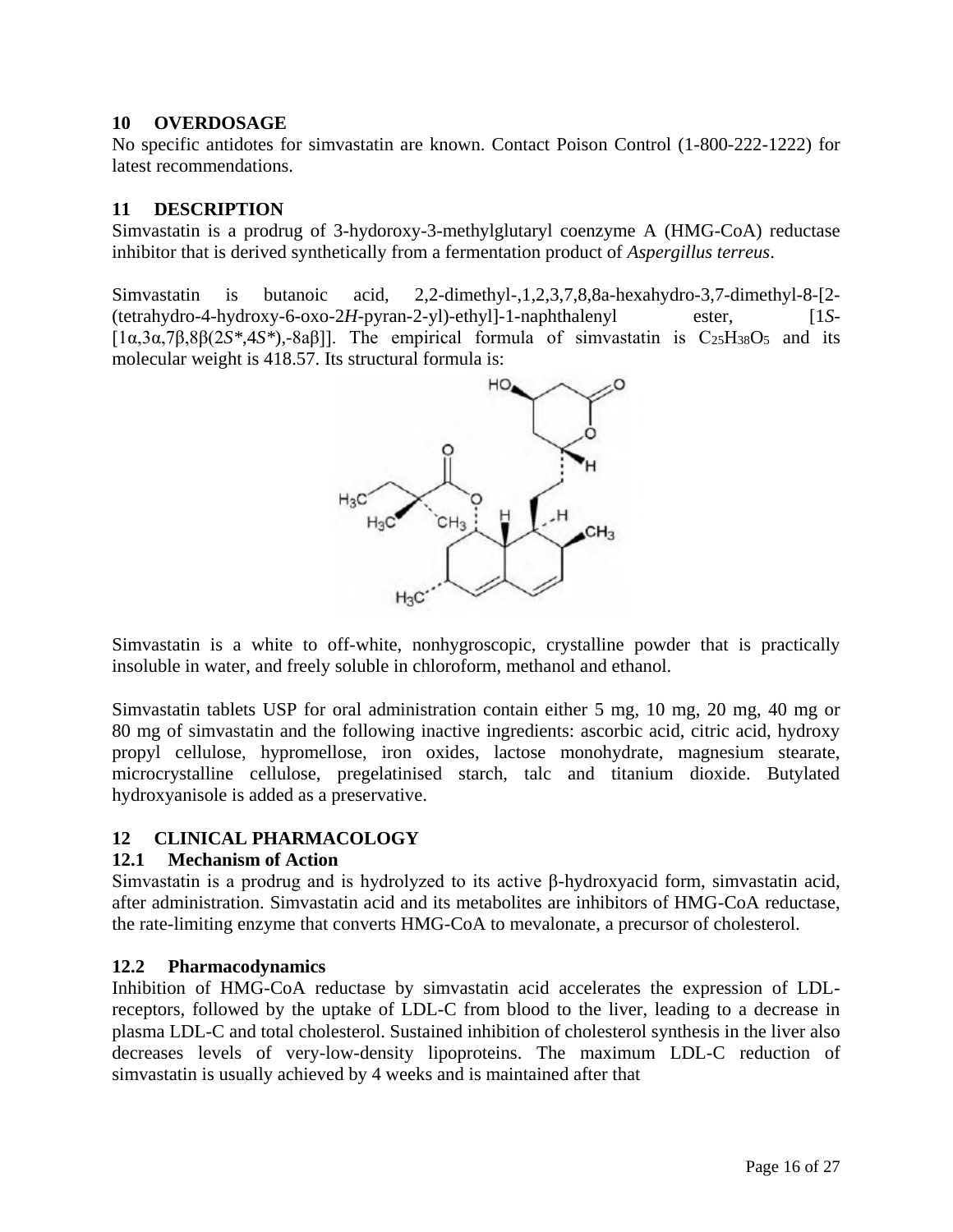#### <span id="page-17-0"></span>**10 OVERDOSAGE**

No specific antidotes for simvastatin are known. Contact Poison Control (1-800-222-1222) for latest recommendations.

# **11 DESCRIPTION**

Simvastatin is a prodrug of 3-hydoroxy-3-methylglutaryl coenzyme A (HMG-CoA) reductase inhibitor that is derived synthetically from a fermentation product of *Aspergillus terreus*.

Simvastatin is butanoic acid, 2,2-dimethyl-,1,2,3,7,8,8a-hexahydro-3,7-dimethyl-8-[2- (tetrahydro-4-hydroxy-6-oxo-2*H*-pyran-2-yl)-ethyl]-1-naphthalenyl ester, [1*S*- [1α,3α,7β,8β(2*S\**,4*S\**),-8aβ]]. The empirical formula of simvastatin is C25H38O<sup>5</sup> and its molecular weight is 418.57. Its structural formula is:



Simvastatin is a white to off-white, nonhygroscopic, crystalline powder that is practically insoluble in water, and freely soluble in chloroform, methanol and ethanol.

Simvastatin tablets USP for oral administration contain either 5 mg, 10 mg, 20 mg, 40 mg or 80 mg of simvastatin and the following inactive ingredients: ascorbic acid, citric acid, hydroxy propyl cellulose, hypromellose, iron oxides, lactose monohydrate, magnesium stearate, microcrystalline cellulose, pregelatinised starch, talc and titanium dioxide. Butylated hydroxyanisole is added as a preservative.

# **12 CLINICAL PHARMACOLOGY**

#### **12.1 Mechanism of Action**

Simvastatin is a prodrug and is hydrolyzed to its active β-hydroxyacid form, simvastatin acid, after administration. Simvastatin acid and its metabolites are inhibitors of HMG-CoA reductase, the rate-limiting enzyme that converts HMG-CoA to mevalonate, a precursor of cholesterol.

#### **12.2 Pharmacodynamics**

Inhibition of HMG-CoA reductase by simvastatin acid accelerates the expression of LDLreceptors, followed by the uptake of LDL-C from blood to the liver, leading to a decrease in plasma LDL-C and total cholesterol. Sustained inhibition of cholesterol synthesis in the liver also decreases levels of very-low-density lipoproteins. The maximum LDL-C reduction of simvastatin is usually achieved by 4 weeks and is maintained after that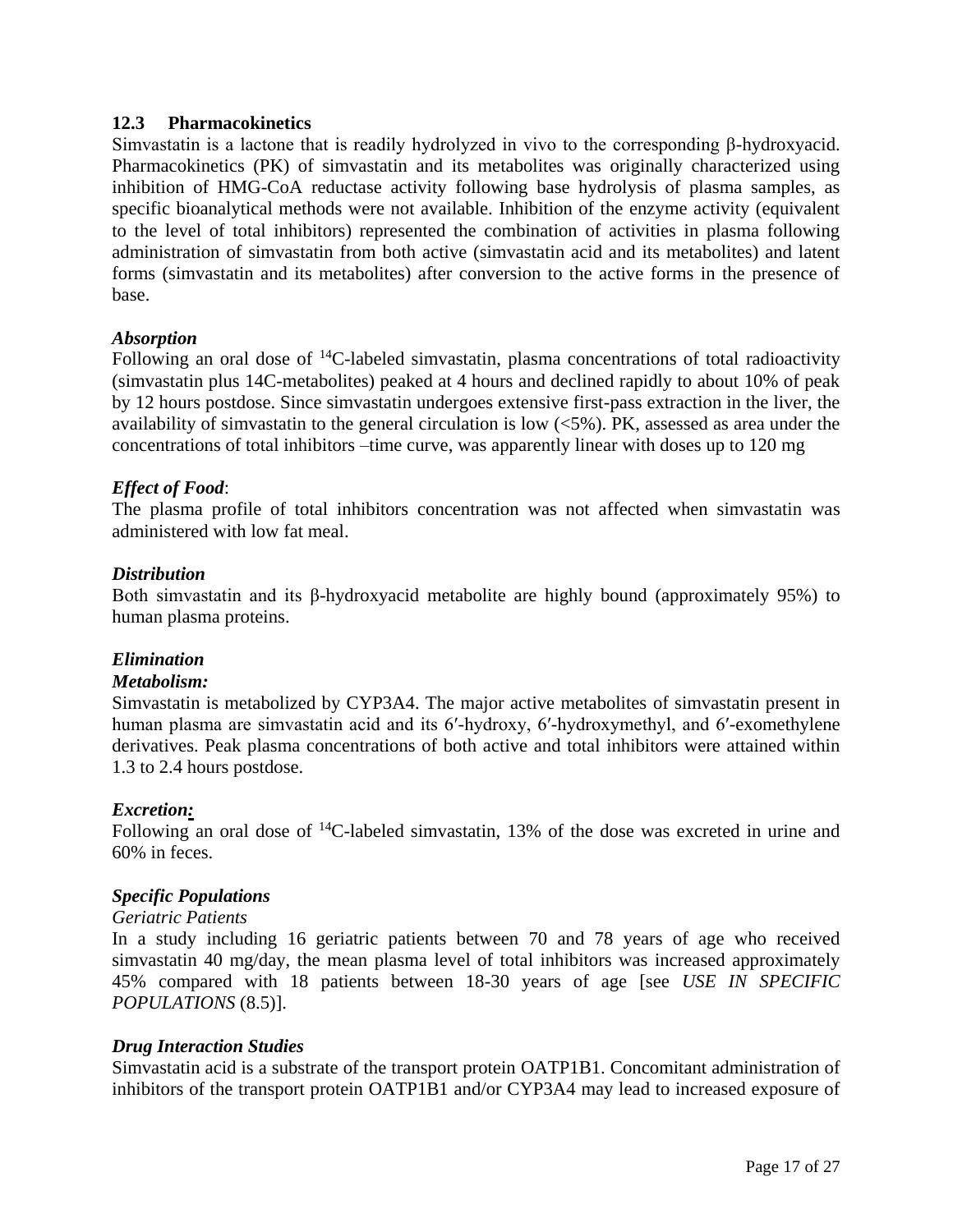#### <span id="page-18-0"></span>**12.3 Pharmacokinetics**

Simvastatin is a lactone that is readily hydrolyzed in vivo to the corresponding β-hydroxyacid. Pharmacokinetics (PK) of simvastatin and its metabolites was originally characterized using inhibition of HMG-CoA reductase activity following base hydrolysis of plasma samples, as specific bioanalytical methods were not available. Inhibition of the enzyme activity (equivalent to the level of total inhibitors) represented the combination of activities in plasma following administration of simvastatin from both active (simvastatin acid and its metabolites) and latent forms (simvastatin and its metabolites) after conversion to the active forms in the presence of base.

#### *Absorption*

Following an oral dose of  $^{14}$ C-labeled simvastatin, plasma concentrations of total radioactivity (simvastatin plus 14C-metabolites) peaked at 4 hours and declined rapidly to about 10% of peak by 12 hours postdose. Since simvastatin undergoes extensive first-pass extraction in the liver, the availability of simvastatin to the general circulation is low  $\langle$ <5%). PK, assessed as area under the concentrations of total inhibitors –time curve, was apparently linear with doses up to 120 mg

#### *Effect of Food*:

The plasma profile of total inhibitors concentration was not affected when simvastatin was administered with low fat meal.

#### *Distribution*

Both simvastatin and its β-hydroxyacid metabolite are highly bound (approximately 95%) to human plasma proteins.

#### *Elimination*

#### *Metabolism:*

Simvastatin is metabolized by CYP3A4. The major active metabolites of simvastatin present in human plasma are simvastatin acid and its 6′-hydroxy, 6′-hydroxymethyl, and 6′-exomethylene derivatives. Peak plasma concentrations of both active and total inhibitors were attained within 1.3 to 2.4 hours postdose.

#### *Excretion:*

Following an oral dose of <sup>14</sup>C-labeled simvastatin, 13% of the dose was excreted in urine and 60% in feces.

#### *Specific Populations*

#### *Geriatric Patients*

In a study including 16 geriatric patients between 70 and 78 years of age who received simvastatin 40 mg/day, the mean plasma level of total inhibitors was increased approximately 45% compared with 18 patients between 18-30 years of age [see *USE IN SPECIFIC POPULATIONS* (8.5)].

#### *Drug Interaction Studies*

Simvastatin acid is a substrate of the transport protein OATP1B1. Concomitant administration of inhibitors of the transport protein OATP1B1 and/or CYP3A4 may lead to increased exposure of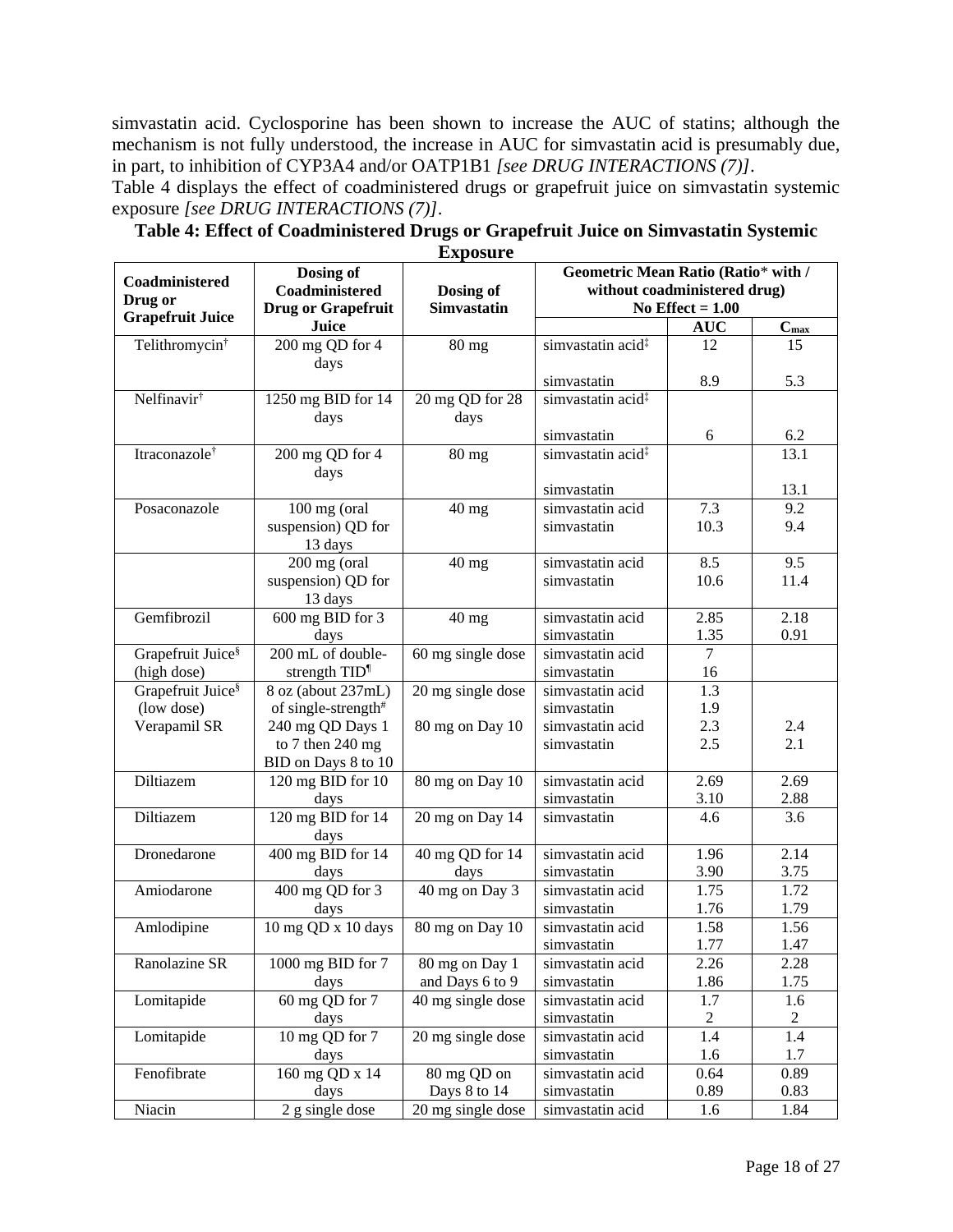simvastatin acid. Cyclosporine has been shown to increase the AUC of statins; although the mechanism is not fully understood, the increase in AUC for simvastatin acid is presumably due, in part, to inhibition of CYP3A4 and/or OATP1B1 *[see DRUG INTERACTIONS (7)]*.

Table 4 displays the effect of coadministered drugs or grapefruit juice on simvastatin systemic exposure *[see DRUG INTERACTIONS (7)]*.

|                               | Dosing of                               |                         | Geometric Mean Ratio (Ratio* with / |                  |                       |
|-------------------------------|-----------------------------------------|-------------------------|-------------------------------------|------------------|-----------------------|
| Coadministered                | Coadministered<br>Dosing of             |                         | without coadministered drug)        |                  |                       |
| Drug or                       | <b>Drug or Grapefruit</b>               | <b>Simvastatin</b>      | No Effect $= 1.00$                  |                  |                       |
| <b>Grapefruit Juice</b>       | Juice                                   |                         |                                     | <b>AUC</b>       | $C_{max}$             |
| Telithromycin <sup>†</sup>    | 200 mg QD for 4<br>days                 | 80 mg                   | simvastatin acid <sup>‡</sup>       | 12               | 15                    |
|                               |                                         |                         | simvastatin                         | 8.9              | 5.3                   |
| Nelfinavir <sup>†</sup>       | 1250 mg BID for 14<br>days              | 20 mg QD for 28<br>days | simvastatin acid <sup>‡</sup>       |                  |                       |
|                               |                                         |                         | simvastatin                         | 6                | 6.2                   |
| Itraconazole <sup>†</sup>     | 200 mg QD for 4<br>days                 | 80 mg                   | simvastatin acid <sup>‡</sup>       |                  | 13.1                  |
|                               |                                         |                         | simvastatin                         |                  | 13.1                  |
| Posaconazole                  | 100 mg (oral                            | 40 mg                   | simvastatin acid                    | $\overline{7.3}$ | 9.2                   |
|                               | suspension) QD for<br>13 days           |                         | simvastatin                         | 10.3             | 9.4                   |
|                               | 200 mg (oral                            | $40$ mg                 | simvastatin acid                    | 8.5              | 9.5                   |
|                               | suspension) QD for<br>13 days           |                         | simvastatin                         | 10.6             | 11.4                  |
| Gemfibrozil                   | 600 mg BID for 3                        | $40$ mg                 | simvastatin acid                    | 2.85             | 2.18                  |
|                               | days                                    |                         | simvastatin                         | 1.35             | 0.91                  |
| Grapefruit Juice <sup>§</sup> | 200 mL of double-                       | 60 mg single dose       | simvastatin acid                    | $\overline{7}$   |                       |
| (high dose)                   | strength TID <sup>1</sup>               |                         | simvastatin                         | 16               |                       |
| Grapefruit Juice <sup>§</sup> | 8 oz (about 237mL)                      | 20 mg single dose       | simvastatin acid                    | 1.3              |                       |
| (low dose)                    | of single-strength#                     |                         | simvastatin                         | 1.9              |                       |
| Verapamil SR                  | 240 mg QD Days 1                        | 80 mg on Day 10         | simvastatin acid                    | 2.3              | 2.4                   |
|                               | to 7 then 240 mg<br>BID on Days 8 to 10 |                         | simvastatin                         | 2.5              | 2.1                   |
| Diltiazem                     | 120 mg BID for $10$                     | 80 mg on Day 10         | simvastatin acid                    | 2.69             | 2.69                  |
|                               | days                                    |                         | simvastatin                         | 3.10             | 2.88                  |
| Diltiazem                     | 120 mg BID for 14<br>days               | 20 mg on Day 14         | simvastatin                         | 4.6              | 3.6                   |
| Dronedarone                   | 400 mg BID for 14                       | 40 mg QD for 14         | simvastatin acid                    | 1.96             | 2.14                  |
|                               | days                                    | days                    | simvastatin                         | 3.90             | 3.75                  |
| Amiodarone                    | 400 mg QD for 3                         | 40 mg on Day 3          | simvastatin acid                    | 1.75             | 1.72                  |
|                               | days                                    |                         | simvastatin                         | 1.76             | 1.79                  |
| Amlodipine                    | 10 mg QD x 10 days                      | 80 mg on Day 10         | simvastatin acid                    | 1.58             | 1.56                  |
|                               |                                         |                         | simvastatin                         | 1.77             | 1.47                  |
| Ranolazine SR                 | $1000 \text{ mg BID}$ for $7$           | 80 mg on Day 1          | simvastatin acid                    | 2.26             | 2.28                  |
|                               | days                                    | and Days 6 to 9         | simvastatin                         | 1.86             | 1.75                  |
| Lomitapide                    | 60 mg QD for 7                          | 40 mg single dose       | simvastatin acid<br>simvastatin     | 1.7              | 1.6                   |
| Lomitapide                    | days<br>10 mg QD for 7                  | 20 mg single dose       | simvastatin acid                    | 2<br>1.4         | $\overline{c}$<br>1.4 |
|                               | days                                    |                         | simvastatin                         | 1.6              | 1.7                   |
| Fenofibrate                   | 160 mg QD x 14                          | 80 mg QD on             | simvastatin acid                    | 0.64             | 0.89                  |
|                               | days                                    | Days 8 to 14            | simvastatin                         | 0.89             | 0.83                  |
| Niacin                        | 2 g single dose                         | 20 mg single dose       | simvastatin acid                    | 1.6              | 1.84                  |

**Table 4: Effect of Coadministered Drugs or Grapefruit Juice on Simvastatin Systemic Exposure**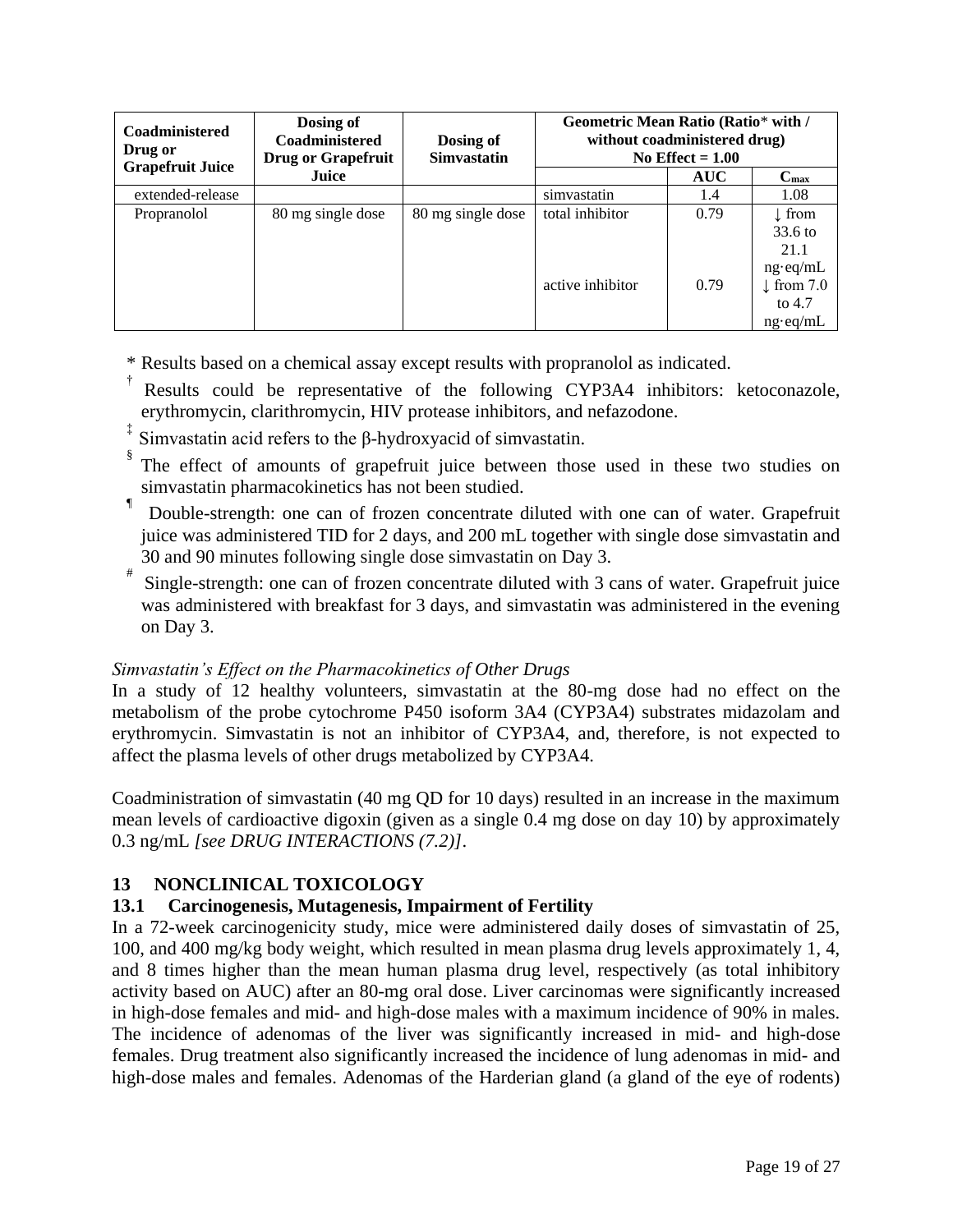<span id="page-20-0"></span>

| Coadministered<br>Drug or<br><b>Grapefruit Juice</b> | Dosing of<br>Coadministered<br><b>Drug or Grapefruit</b> | Dosing of<br><b>Simvastatin</b> | Geometric Mean Ratio (Ratio* with / | without coadministered drug)<br>No Effect $= 1.00$ |                       |
|------------------------------------------------------|----------------------------------------------------------|---------------------------------|-------------------------------------|----------------------------------------------------|-----------------------|
|                                                      | Juice                                                    |                                 |                                     | <b>AUC</b>                                         | $C_{\text{max}}$      |
| extended-release                                     |                                                          |                                 | simvastatin                         | 1.4                                                | 1.08                  |
| Propranolol                                          | 80 mg single dose                                        | 80 mg single dose               | total inhibitor                     | 0.79                                               | $\downarrow$ from     |
|                                                      |                                                          |                                 |                                     |                                                    | $33.6$ to             |
|                                                      |                                                          |                                 |                                     |                                                    | 21.1                  |
|                                                      |                                                          |                                 |                                     |                                                    | $ng \cdot eq/mL$      |
|                                                      |                                                          |                                 | active inhibitor                    | 0.79                                               | $\downarrow$ from 7.0 |
|                                                      |                                                          |                                 |                                     |                                                    | to $4.7$              |
|                                                      |                                                          |                                 |                                     |                                                    | $ng \cdot eq/mL$      |

- \* Results based on a chemical assay except results with propranolol as indicated.
- † Results could be representative of the following CYP3A4 inhibitors: ketoconazole, erythromycin, clarithromycin, HIV protease inhibitors, and nefazodone.
- $\frac{4}{\pi}$  Simvastatin acid refers to the β-hydroxyacid of simvastatin.
- The effect of amounts of grapefruit juice between those used in these two studies on simvastatin pharmacokinetics has not been studied.
- ¶ Double-strength: one can of frozen concentrate diluted with one can of water. Grapefruit juice was administered TID for 2 days, and 200 mL together with single dose simvastatin and 30 and 90 minutes following single dose simvastatin on Day 3.
- Single-strength: one can of frozen concentrate diluted with 3 cans of water. Grapefruit juice was administered with breakfast for 3 days, and simvastatin was administered in the evening on Day 3.

# *Simvastatin's Effect on the Pharmacokinetics of Other Drugs*

In a study of 12 healthy volunteers, simvastatin at the 80-mg dose had no effect on the metabolism of the probe cytochrome P450 isoform 3A4 (CYP3A4) substrates midazolam and erythromycin. Simvastatin is not an inhibitor of CYP3A4, and, therefore, is not expected to affect the plasma levels of other drugs metabolized by CYP3A4.

Coadministration of simvastatin (40 mg QD for 10 days) resulted in an increase in the maximum mean levels of cardioactive digoxin (given as a single 0.4 mg dose on day 10) by approximately 0.3 ng/mL *[see DRUG INTERACTIONS (7.2)]*.

# **13 NONCLINICAL TOXICOLOGY**

# **13.1 Carcinogenesis, Mutagenesis, Impairment of Fertility**

In a 72-week carcinogenicity study, mice were administered daily doses of simvastatin of 25, 100, and 400 mg/kg body weight, which resulted in mean plasma drug levels approximately 1, 4, and 8 times higher than the mean human plasma drug level, respectively (as total inhibitory activity based on AUC) after an 80-mg oral dose. Liver carcinomas were significantly increased in high-dose females and mid- and high-dose males with a maximum incidence of 90% in males. The incidence of adenomas of the liver was significantly increased in mid- and high-dose females. Drug treatment also significantly increased the incidence of lung adenomas in mid- and high-dose males and females. Adenomas of the Harderian gland (a gland of the eye of rodents)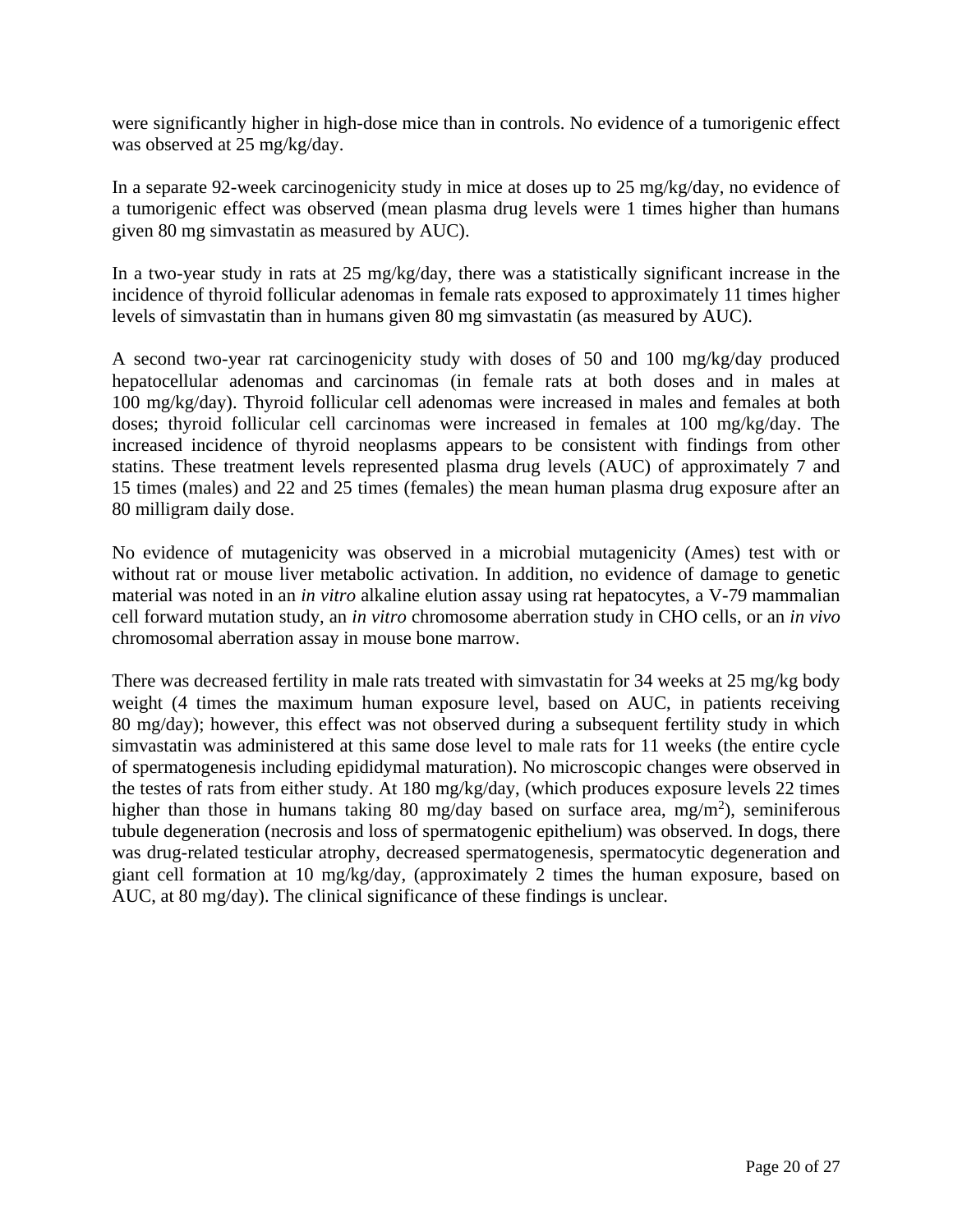were significantly higher in high-dose mice than in controls. No evidence of a tumorigenic effect was observed at 25 mg/kg/day.

In a separate 92-week carcinogenicity study in mice at doses up to 25 mg/kg/day, no evidence of a tumorigenic effect was observed (mean plasma drug levels were 1 times higher than humans given 80 mg simvastatin as measured by AUC).

In a two-year study in rats at 25 mg/kg/day, there was a statistically significant increase in the incidence of thyroid follicular adenomas in female rats exposed to approximately 11 times higher levels of simvastatin than in humans given 80 mg simvastatin (as measured by AUC).

A second two-year rat carcinogenicity study with doses of 50 and 100 mg/kg/day produced hepatocellular adenomas and carcinomas (in female rats at both doses and in males at 100 mg/kg/day). Thyroid follicular cell adenomas were increased in males and females at both doses; thyroid follicular cell carcinomas were increased in females at 100 mg/kg/day. The increased incidence of thyroid neoplasms appears to be consistent with findings from other statins. These treatment levels represented plasma drug levels (AUC) of approximately 7 and 15 times (males) and 22 and 25 times (females) the mean human plasma drug exposure after an 80 milligram daily dose.

No evidence of mutagenicity was observed in a microbial mutagenicity (Ames) test with or without rat or mouse liver metabolic activation. In addition, no evidence of damage to genetic material was noted in an *in vitro* alkaline elution assay using rat hepatocytes, a V-79 mammalian cell forward mutation study, an *in vitro* chromosome aberration study in CHO cells, or an *in vivo*  chromosomal aberration assay in mouse bone marrow.

There was decreased fertility in male rats treated with simvastatin for 34 weeks at 25 mg/kg body weight (4 times the maximum human exposure level, based on AUC, in patients receiving 80 mg/day); however, this effect was not observed during a subsequent fertility study in which simvastatin was administered at this same dose level to male rats for 11 weeks (the entire cycle of spermatogenesis including epididymal maturation). No microscopic changes were observed in the testes of rats from either study. At 180 mg/kg/day, (which produces exposure levels 22 times higher than those in humans taking 80 mg/day based on surface area, mg/m<sup>2</sup>), seminiferous tubule degeneration (necrosis and loss of spermatogenic epithelium) was observed. In dogs, there was drug-related testicular atrophy, decreased spermatogenesis, spermatocytic degeneration and giant cell formation at 10 mg/kg/day, (approximately 2 times the human exposure, based on AUC, at 80 mg/day). The clinical significance of these findings is unclear.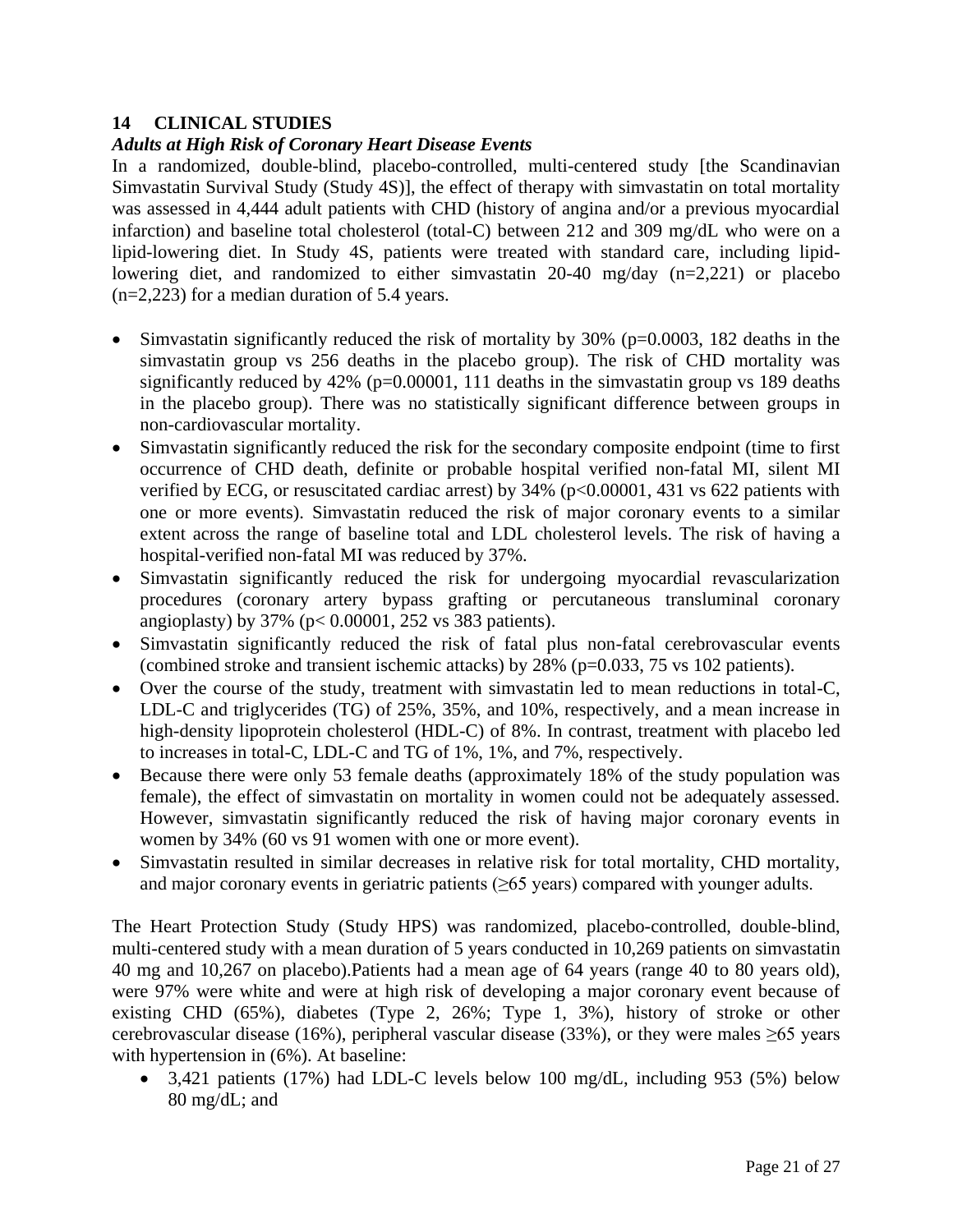# <span id="page-22-0"></span>**14 CLINICAL STUDIES**

### *Adults at High Risk of Coronary Heart Disease Events*

In a randomized, double-blind, placebo-controlled, multi-centered study [the Scandinavian Simvastatin Survival Study (Study 4S)], the effect of therapy with simvastatin on total mortality was assessed in 4,444 adult patients with CHD (history of angina and/or a previous myocardial infarction) and baseline total cholesterol (total-C) between 212 and 309 mg/dL who were on a lipid-lowering diet. In Study 4S, patients were treated with standard care, including lipidlowering diet, and randomized to either simvastatin 20-40 mg/day (n=2,221) or placebo (n=2,223) for a median duration of 5.4 years.

- $\bullet$  Simvastatin significantly reduced the risk of mortality by 30% (p=0.0003, 182 deaths in the simvastatin group vs 256 deaths in the placebo group). The risk of CHD mortality was significantly reduced by  $42\%$  (p=0.00001, 111 deaths in the simvastatin group vs 189 deaths in the placebo group). There was no statistically significant difference between groups in non-cardiovascular mortality.
- Simvastatin significantly reduced the risk for the secondary composite endpoint (time to first occurrence of CHD death, definite or probable hospital verified non-fatal MI, silent MI verified by ECG, or resuscitated cardiac arrest) by 34% (p<0.00001, 431 vs 622 patients with one or more events). Simvastatin reduced the risk of major coronary events to a similar extent across the range of baseline total and LDL cholesterol levels. The risk of having a hospital-verified non-fatal MI was reduced by 37%.
- Simvastatin significantly reduced the risk for undergoing myocardial revascularization procedures (coronary artery bypass grafting or percutaneous transluminal coronary angioplasty) by 37% (p< 0.00001, 252 vs 383 patients).
- Simvastatin significantly reduced the risk of fatal plus non-fatal cerebrovascular events (combined stroke and transient ischemic attacks) by 28% (p=0.033, 75 vs 102 patients).
- Over the course of the study, treatment with simvastatin led to mean reductions in total-C, LDL-C and triglycerides (TG) of 25%, 35%, and 10%, respectively, and a mean increase in high-density lipoprotein cholesterol (HDL-C) of 8%. In contrast, treatment with placebo led to increases in total-C, LDL-C and TG of 1%, 1%, and 7%, respectively.
- Because there were only 53 female deaths (approximately 18% of the study population was female), the effect of simvastatin on mortality in women could not be adequately assessed. However, simvastatin significantly reduced the risk of having major coronary events in women by 34% (60 vs 91 women with one or more event).
- Simvastatin resulted in similar decreases in relative risk for total mortality, CHD mortality, and major coronary events in geriatric patients  $(\geq 65$  years) compared with younger adults.

The Heart Protection Study (Study HPS) was randomized, placebo-controlled, double-blind, multi-centered study with a mean duration of 5 years conducted in 10,269 patients on simvastatin 40 mg and 10,267 on placebo).Patients had a mean age of 64 years (range 40 to 80 years old), were 97% were white and were at high risk of developing a major coronary event because of existing CHD (65%), diabetes (Type 2, 26%; Type 1, 3%), history of stroke or other cerebrovascular disease (16%), peripheral vascular disease (33%), or they were males  $\geq 65$  years with hypertension in  $(6%)$ . At baseline:

 3,421 patients (17%) had LDL-C levels below 100 mg/dL, including 953 (5%) below 80 mg/dL; and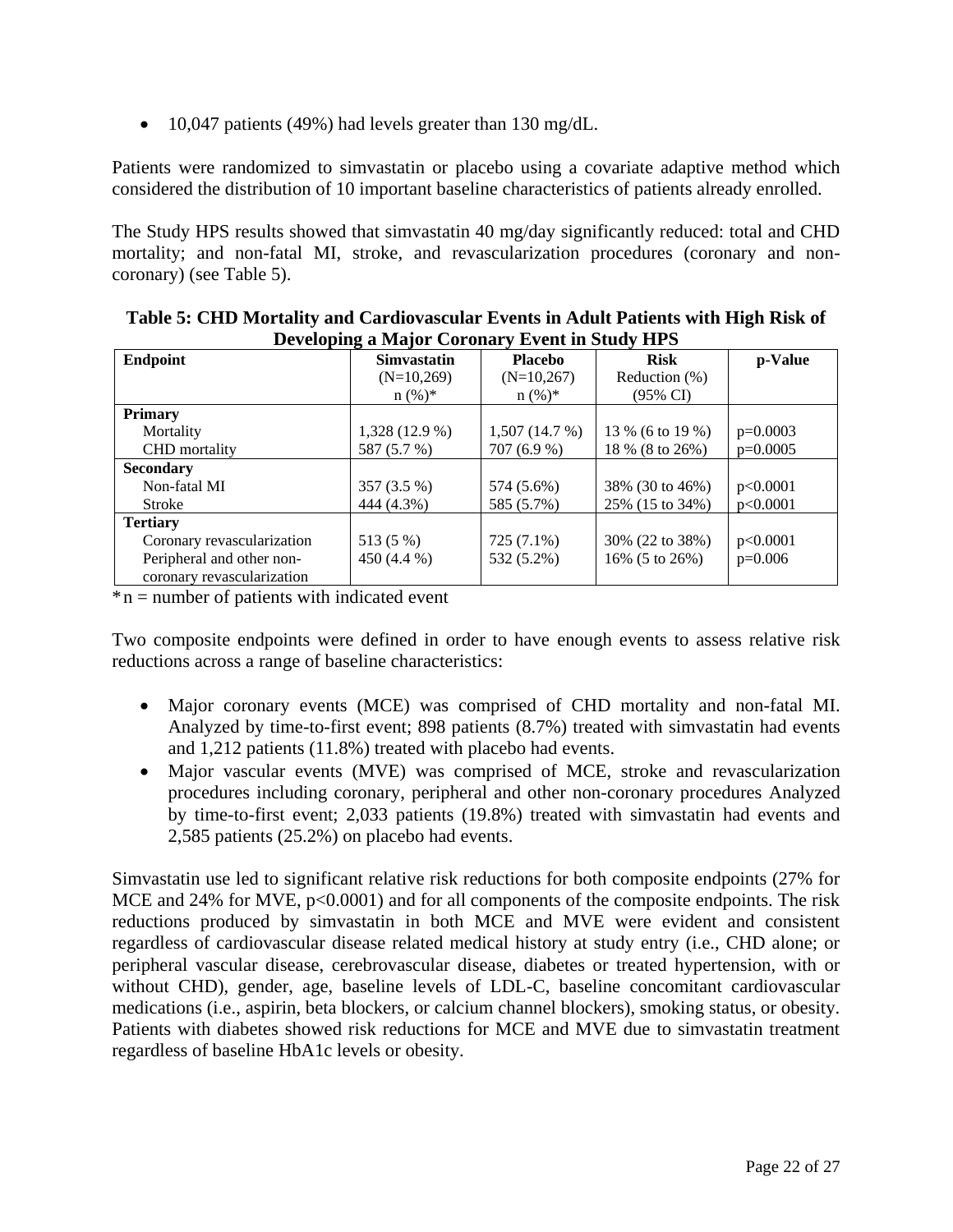• 10,047 patients (49%) had levels greater than 130 mg/dL.

Patients were randomized to simvastatin or placebo using a covariate adaptive method which considered the distribution of 10 important baseline characteristics of patients already enrolled.

The Study HPS results showed that simvastatin 40 mg/day significantly reduced: total and CHD mortality; and non-fatal MI, stroke, and revascularization procedures (coronary and noncoronary) (see Table 5).

| $D_{\rm V}$ , $D_{\rm V}$ and $D_{\rm V}$ and $D_{\rm V}$ and $D_{\rm V}$ and $D_{\rm V}$ and $D_{\rm V}$ |                    |                |                            |            |  |  |
|-----------------------------------------------------------------------------------------------------------|--------------------|----------------|----------------------------|------------|--|--|
| <b>Endpoint</b>                                                                                           | <b>Simvastatin</b> | <b>Placebo</b> | <b>Risk</b>                | p-Value    |  |  |
|                                                                                                           | $(N=10,269)$       | $(N=10,267)$   | Reduction (%)              |            |  |  |
|                                                                                                           | $n (\%)^*$         | $n (%)^*$      | $(95\% \text{ CI})$        |            |  |  |
| Primary                                                                                                   |                    |                |                            |            |  |  |
| Mortality                                                                                                 | 1,328 (12.9 %)     | 1,507(14.7%)   | 13 % (6 to 19 %)           | $p=0.0003$ |  |  |
| <b>CHD</b> mortality                                                                                      | 587 (5.7 %)        | 707 (6.9 %)    | 18 % (8 to 26%)            | $p=0.0005$ |  |  |
| <b>Secondary</b>                                                                                          |                    |                |                            |            |  |  |
| Non-fatal MI                                                                                              | 357 (3.5 %)        | 574 (5.6%)     | 38% (30 to 46%)            | p<0.0001   |  |  |
| Stroke                                                                                                    | 444 (4.3%)         | 585 (5.7%)     | 25% (15 to 34%)            | p<0.0001   |  |  |
| <b>Tertiary</b>                                                                                           |                    |                |                            |            |  |  |
| Coronary revascularization                                                                                | 513 (5 %)          | 725 (7.1%)     | 30% (22 to 38%)            | p<0.0001   |  |  |
| Peripheral and other non-                                                                                 | 450 (4.4 %)        | 532 (5.2%)     | 16% $(5 \text{ to } 26\%)$ | $p=0.006$  |  |  |
| coronary revascularization                                                                                |                    |                |                            |            |  |  |

**Table 5: CHD Mortality and Cardiovascular Events in Adult Patients with High Risk of Developing a Major Coronary Event in Study HPS**

 $***n**$  = number of patients with indicated event

Two composite endpoints were defined in order to have enough events to assess relative risk reductions across a range of baseline characteristics:

- Major coronary events (MCE) was comprised of CHD mortality and non-fatal MI. Analyzed by time-to-first event; 898 patients (8.7%) treated with simvastatin had events and 1,212 patients (11.8%) treated with placebo had events.
- Major vascular events (MVE) was comprised of MCE, stroke and revascularization procedures including coronary, peripheral and other non-coronary procedures Analyzed by time-to-first event; 2,033 patients (19.8%) treated with simvastatin had events and 2,585 patients (25.2%) on placebo had events.

Simvastatin use led to significant relative risk reductions for both composite endpoints (27% for MCE and  $24\%$  for MVE,  $p<0.0001$  and for all components of the composite endpoints. The risk reductions produced by simvastatin in both MCE and MVE were evident and consistent regardless of cardiovascular disease related medical history at study entry (i.e., CHD alone; or peripheral vascular disease, cerebrovascular disease, diabetes or treated hypertension, with or without CHD), gender, age, baseline levels of LDL-C, baseline concomitant cardiovascular medications (i.e., aspirin, beta blockers, or calcium channel blockers), smoking status, or obesity. Patients with diabetes showed risk reductions for MCE and MVE due to simvastatin treatment regardless of baseline HbA1c levels or obesity.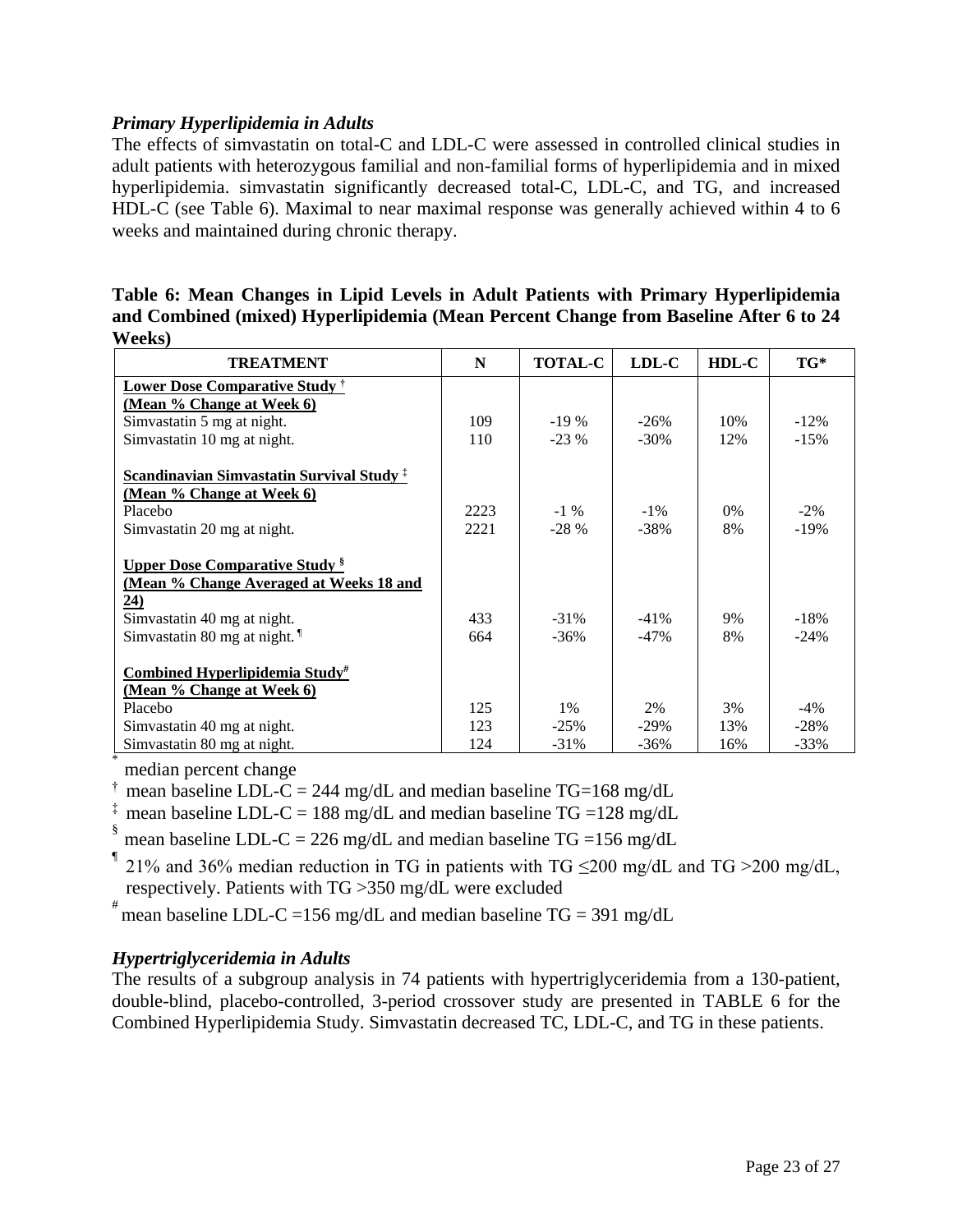### *Primary Hyperlipidemia in Adults*

The effects of simvastatin on total-C and LDL-C were assessed in controlled clinical studies in adult patients with heterozygous familial and non-familial forms of hyperlipidemia and in mixed hyperlipidemia. simvastatin significantly decreased total-C, LDL-C, and TG, and increased HDL-C (see Table 6). Maximal to near maximal response was generally achieved within 4 to 6 weeks and maintained during chronic therapy.

| Table 6: Mean Changes in Lipid Levels in Adult Patients with Primary Hyperlipidemia  |
|--------------------------------------------------------------------------------------|
| and Combined (mixed) Hyperlipidemia (Mean Percent Change from Baseline After 6 to 24 |
| Weeks)                                                                               |

| <b>TREATMENT</b>                                                                            | N    | <b>TOTAL-C</b> | LDL-C   | $HDL-C$ | TG*     |
|---------------------------------------------------------------------------------------------|------|----------------|---------|---------|---------|
| Lower Dose Comparative Study <sup>†</sup>                                                   |      |                |         |         |         |
| (Mean % Change at Week 6)                                                                   |      |                |         |         |         |
| Simvastatin 5 mg at night.                                                                  | 109  | $-19\%$        | $-26%$  | 10%     | $-12\%$ |
| Simvastatin 10 mg at night.                                                                 | 110  | $-23\%$        | $-30\%$ | 12%     | $-15%$  |
|                                                                                             |      |                |         |         |         |
| Scandinavian Simvastatin Survival Study <sup>#</sup>                                        |      |                |         |         |         |
| (Mean % Change at Week 6)                                                                   |      |                |         |         |         |
| Placebo                                                                                     | 2223 | $-1\%$         | $-1\%$  | 0%      | $-2\%$  |
| Simvastatin 20 mg at night.                                                                 | 2221 | $-28%$         | $-38%$  | 8%      | $-19%$  |
| <b>Upper Dose Comparative Study</b> <sup>§</sup><br>(Mean % Change Averaged at Weeks 18 and |      |                |         |         |         |
| (24)<br>Simvastatin 40 mg at night.                                                         | 433  | $-31\%$        | $-41%$  | 9%      | $-18%$  |
|                                                                                             |      | $-36%$         | $-47%$  | 8%      | $-24%$  |
| Simvastatin 80 mg at night. $\mathbb{I}$                                                    | 664  |                |         |         |         |
| Combined Hyperlipidemia Study#<br>(Mean % Change at Week 6)                                 |      |                |         |         |         |
| Placebo                                                                                     | 125  | $1\%$          | 2%      | 3%      | $-4%$   |
| Simvastatin 40 mg at night.                                                                 | 123  | $-25%$         | $-29\%$ | 13%     | $-28%$  |
| Simvastatin 80 mg at night.                                                                 | 124  | $-31\%$        | $-36%$  | 16%     | $-33\%$ |

median percent change

mean baseline LDL-C = 244 mg/dL and median baseline  $TG=168$  mg/dL

<sup>‡</sup> mean baseline LDL-C = 188 mg/dL and median baseline TG = 128 mg/dL

mean baseline LDL-C = 226 mg/dL and median baseline  $TG = 156$  mg/dL

21% and 36% median reduction in TG in patients with TG  $\leq$ 200 mg/dL and TG >200 mg/dL, respectively. Patients with TG >350 mg/dL were excluded

mean baseline LDL-C =156 mg/dL and median baseline  $TG = 391$  mg/dL

# *Hypertriglyceridemia in Adults*

The results of a subgroup analysis in 74 patients with hypertriglyceridemia from a 130-patient, double-blind, placebo-controlled, 3-period crossover study are presented in TABLE 6 for the Combined Hyperlipidemia Study. Simvastatin decreased TC, LDL-C, and TG in these patients.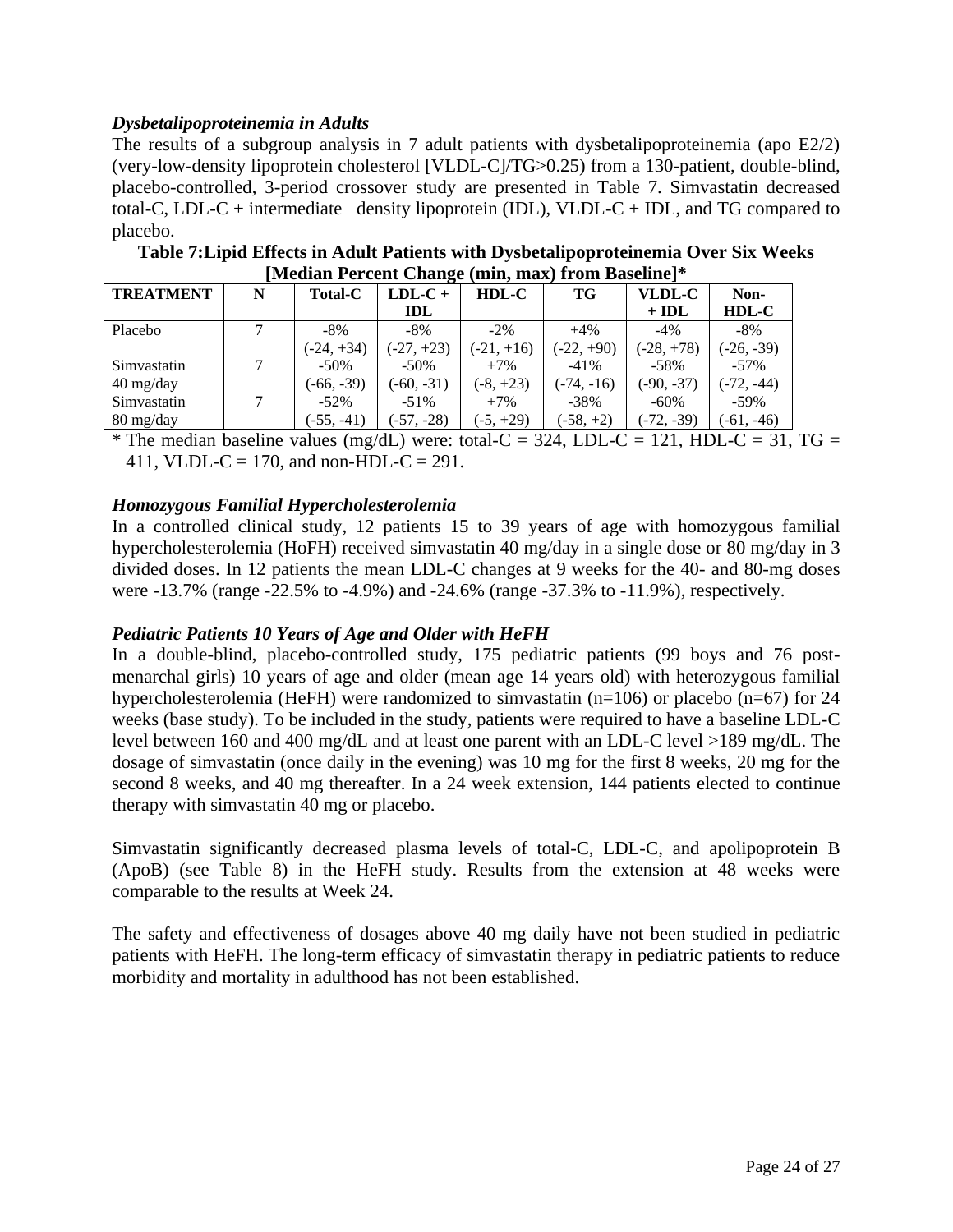### *Dysbetalipoproteinemia in Adults*

The results of a subgroup analysis in 7 adult patients with dysbetalipoproteinemia (apo E2/2) (very-low-density lipoprotein cholesterol [VLDL-C]/TG>0.25) from a 130-patient, double-blind, placebo-controlled, 3-period crossover study are presented in Table 7. Simvastatin decreased total-C,  $LDL-C +$  intermediate density lipoprotein (IDL),  $VLDL-C + IDL$ , and TG compared to placebo.

| <b>TREATMENT</b>                  | N | <b>Total-C</b> | $LDL-C+$     | $HDL-C$      | TG           | <b>VLDL-C</b> | Non-         |
|-----------------------------------|---|----------------|--------------|--------------|--------------|---------------|--------------|
|                                   |   |                | IDL          |              |              | $+ IDL$       | HDL-C        |
| Placebo                           |   | $-8\%$         | $-8\%$       | $-2\%$       | $+4\%$       | $-4\%$        | $-8\%$       |
|                                   |   | $(-24, +34)$   | $(-27, +23)$ | $(-21, +16)$ | $(-22, +90)$ | $(-28, +78)$  | $(-26, -39)$ |
| Simvastatin                       | 7 | $-50\%$        | $-50\%$      | $+7\%$       | $-41\%$      | $-58\%$       | $-57\%$      |
| $40 \frac{\text{mg}}{\text{day}}$ |   | $(-66, -39)$   | $(-60, -31)$ | $(-8, +23)$  | $(-74, -16)$ | $(-90, -37)$  | $(-72, -44)$ |
| Simvastatin                       |   | $-52\%$        | $-51\%$      | $+7\%$       | $-38%$       | $-60\%$       | $-59\%$      |
| 80 mg/day                         |   | $(-55, -41)$   | $(-57, -28)$ | $(-5, +29)$  | $(-58, +2)$  | $(-72, -39)$  | $(-61, -46)$ |

**Table 7:Lipid Effects in Adult Patients with Dysbetalipoproteinemia Over Six Weeks [Median Percent Change (min, max) from Baseline]\***

\* The median baseline values (mg/dL) were: total-C = 324, LDL-C = 121, HDL-C = 31, TG = 411, VLDL-C = 170, and non-HDL-C = 291.

### *Homozygous Familial Hypercholesterolemia*

In a controlled clinical study, 12 patients 15 to 39 years of age with homozygous familial hypercholesterolemia (HoFH) received simvastatin 40 mg/day in a single dose or 80 mg/day in 3 divided doses. In 12 patients the mean LDL-C changes at 9 weeks for the 40- and 80-mg doses were -13.7% (range -22.5% to -4.9%) and -24.6% (range -37.3% to -11.9%), respectively.

#### *Pediatric Patients 10 Years of Age and Older with HeFH*

In a double-blind, placebo-controlled study, 175 pediatric patients (99 boys and 76 postmenarchal girls) 10 years of age and older (mean age 14 years old) with heterozygous familial hypercholesterolemia (HeFH) were randomized to simvastatin (n=106) or placebo (n=67) for 24 weeks (base study). To be included in the study, patients were required to have a baseline LDL-C level between 160 and 400 mg/dL and at least one parent with an LDL-C level >189 mg/dL. The dosage of simvastatin (once daily in the evening) was 10 mg for the first 8 weeks, 20 mg for the second 8 weeks, and 40 mg thereafter. In a 24 week extension, 144 patients elected to continue therapy with simvastatin 40 mg or placebo.

Simvastatin significantly decreased plasma levels of total-C, LDL-C, and apolipoprotein B (ApoB) (see Table 8) in the HeFH study. Results from the extension at 48 weeks were comparable to the results at Week 24.

The safety and effectiveness of dosages above 40 mg daily have not been studied in pediatric patients with HeFH. The long-term efficacy of simvastatin therapy in pediatric patients to reduce morbidity and mortality in adulthood has not been established.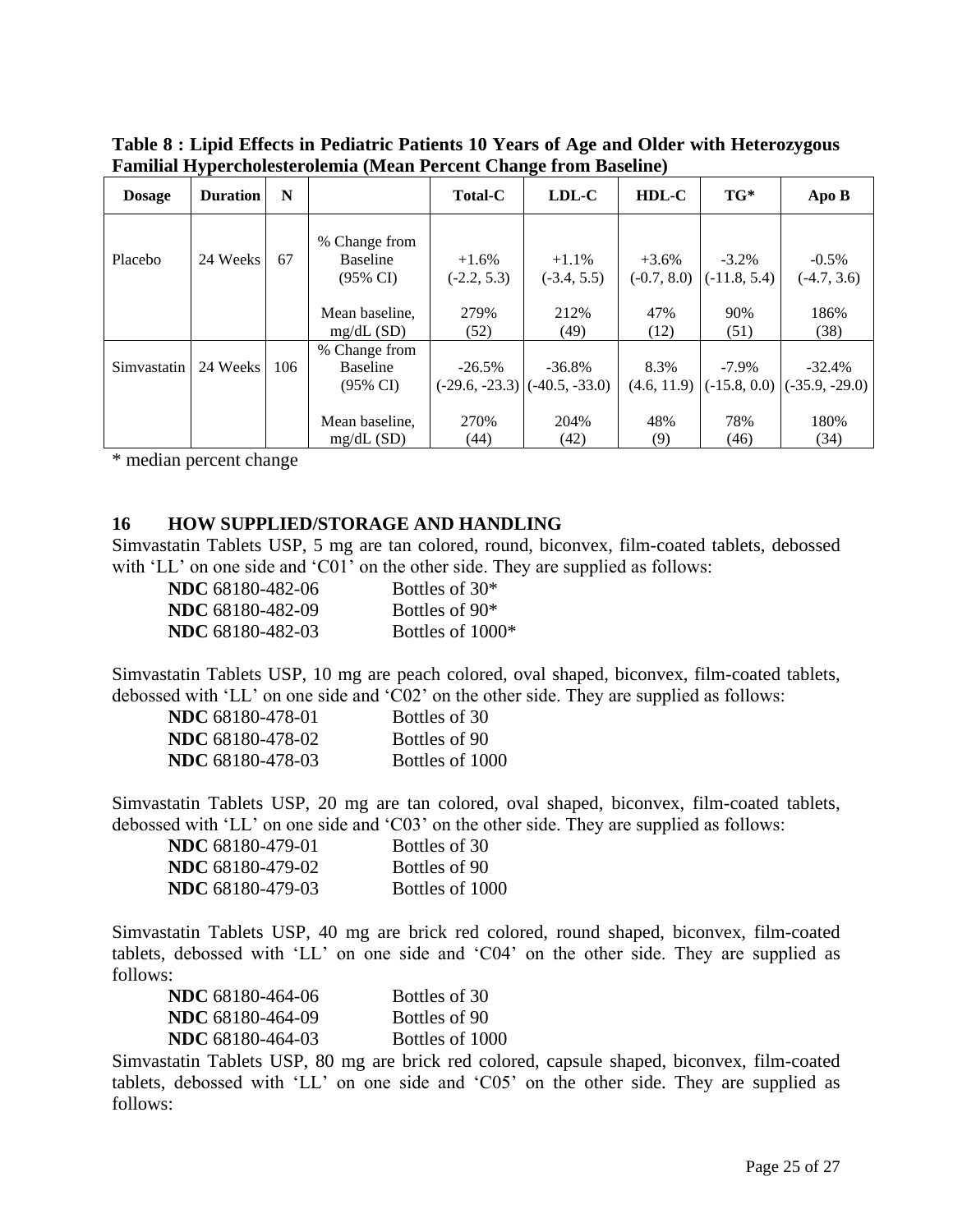<span id="page-26-0"></span>**Table 8 : Lipid Effects in Pediatric Patients 10 Years of Age and Older with Heterozygous Familial Hypercholesterolemia (Mean Percent Change from Baseline)**

| <b>Dosage</b> | <b>Duration</b> | N   |                                                  | <b>Total-C</b>            | LDL-C                                          | HDL-C       | $TG^*$                                   | Apo B                                                     |
|---------------|-----------------|-----|--------------------------------------------------|---------------------------|------------------------------------------------|-------------|------------------------------------------|-----------------------------------------------------------|
| Placebo       | 24 Weeks        | 67  | % Change from<br>Baseline<br>$(95\% \text{ CI})$ | $+1.6\%$<br>$(-2.2, 5.3)$ | $+1.1\%$<br>$(-3.4, 5.5)$                      | $+3.6\%$    | $-3.2\%$<br>$(-0.7, 8.0)$ $(-11.8, 5.4)$ | $-0.5\%$<br>$(-4.7, 3.6)$                                 |
|               |                 |     | Mean baseline,<br>mg/dL(SD)                      | 279%<br>(52)              | 212%<br>(49)                                   | 47%<br>(12) | 90%<br>(51)                              | 186%<br>(38)                                              |
| Simvastatin   | 24 Weeks        | 106 | % Change from<br>Baseline<br>$(95\% \text{ CI})$ | $-26.5\%$                 | $-36.8\%$<br>$(-29.6, -23.3)$ $(-40.5, -33.0)$ | 8.3%        | $-7.9\%$                                 | $-32.4%$<br>$(4.6, 11.9)$ $(-15.8, 0.0)$ $(-35.9, -29.0)$ |
|               |                 |     | Mean baseline,<br>mg/dL(SD)                      | 270%<br>(44)              | 204%<br>(42)                                   | 48%<br>(9)  | 78%<br>(46)                              | 180%<br>(34)                                              |

\* median percent change

#### **16 HOW SUPPLIED/STORAGE AND HANDLING**

Simvastatin Tablets USP, 5 mg are tan colored, round, biconvex, film-coated tablets, debossed with 'LL' on one side and 'C01' on the other side. They are supplied as follows:

| NDC 68180-482-06        | Bottles of 30 <sup>*</sup>   |
|-------------------------|------------------------------|
| <b>NDC</b> 68180-482-09 | Bottles of 90 <sup>*</sup>   |
| <b>NDC</b> 68180-482-03 | Bottles of 1000 <sup>*</sup> |

Simvastatin Tablets USP, 10 mg are peach colored, oval shaped, biconvex, film-coated tablets, debossed with 'LL' on one side and 'C02' on the other side. They are supplied as follows:

| <b>NDC</b> 68180-478-01 | Bottles of 30   |
|-------------------------|-----------------|
| <b>NDC</b> 68180-478-02 | Bottles of 90   |
| <b>NDC</b> 68180-478-03 | Bottles of 1000 |

Simvastatin Tablets USP, 20 mg are tan colored, oval shaped, biconvex, film-coated tablets, debossed with 'LL' on one side and 'C03' on the other side. They are supplied as follows:

| <b>NDC</b> 68180-479-01 | Bottles of 30   |
|-------------------------|-----------------|
| <b>NDC</b> 68180-479-02 | Bottles of 90   |
| <b>NDC</b> 68180-479-03 | Bottles of 1000 |

Simvastatin Tablets USP, 40 mg are brick red colored, round shaped, biconvex, film-coated tablets, debossed with 'LL' on one side and 'C04' on the other side. They are supplied as follows:

| <b>NDC</b> 68180-464-06 | Bottles of 30   |
|-------------------------|-----------------|
| <b>NDC</b> 68180-464-09 | Bottles of 90   |
| <b>NDC</b> 68180-464-03 | Bottles of 1000 |

Simvastatin Tablets USP, 80 mg are brick red colored, capsule shaped, biconvex, film-coated tablets, debossed with 'LL' on one side and 'C05' on the other side. They are supplied as follows: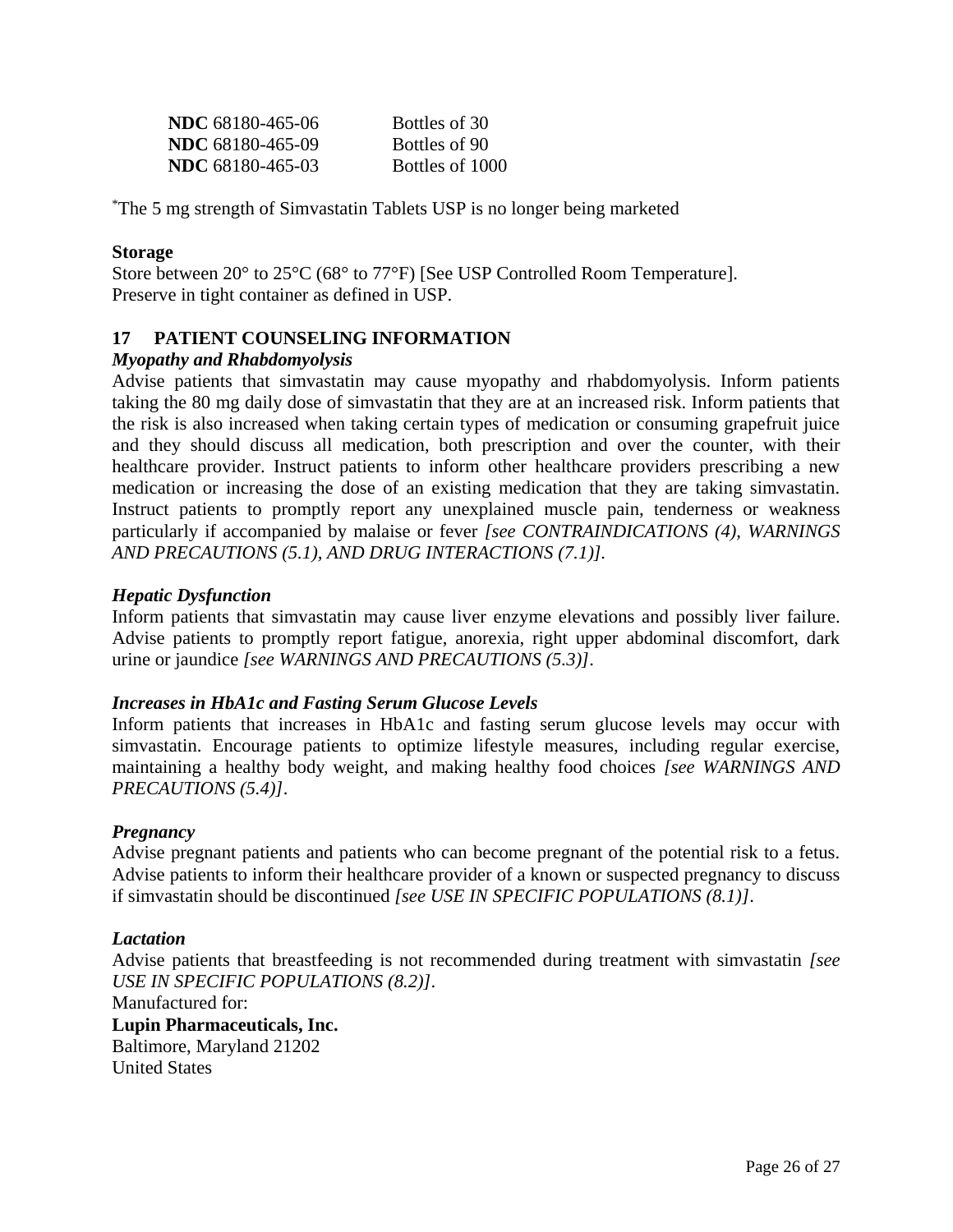<span id="page-27-0"></span>

| <b>NDC</b> 68180-465-06 | Bottles of 30   |
|-------------------------|-----------------|
| <b>NDC</b> 68180-465-09 | Bottles of 90   |
| <b>NDC</b> 68180-465-03 | Bottles of 1000 |

\*The 5 mg strength of Simvastatin Tablets USP is no longer being marketed

### **Storage**

Store between 20° to 25°C (68° to 77°F) [See USP Controlled Room Temperature]. Preserve in tight container as defined in USP.

# **17 PATIENT COUNSELING INFORMATION**

### *Myopathy and Rhabdomyolysis*

Advise patients that simvastatin may cause myopathy and rhabdomyolysis. Inform patients taking the 80 mg daily dose of simvastatin that they are at an increased risk. Inform patients that the risk is also increased when taking certain types of medication or consuming grapefruit juice and they should discuss all medication, both prescription and over the counter, with their healthcare provider. Instruct patients to inform other healthcare providers prescribing a new medication or increasing the dose of an existing medication that they are taking simvastatin. Instruct patients to promptly report any unexplained muscle pain, tenderness or weakness particularly if accompanied by malaise or fever *[see CONTRAINDICATIONS (4), WARNINGS AND PRECAUTIONS (5.1), AND DRUG INTERACTIONS (7.1)].*

### *Hepatic Dysfunction*

Inform patients that simvastatin may cause liver enzyme elevations and possibly liver failure. Advise patients to promptly report fatigue, anorexia, right upper abdominal discomfort, dark urine or jaundice *[see WARNINGS AND PRECAUTIONS (5.3)]*.

#### *Increases in HbA1c and Fasting Serum Glucose Levels*

Inform patients that increases in HbA1c and fasting serum glucose levels may occur with simvastatin. Encourage patients to optimize lifestyle measures, including regular exercise, maintaining a healthy body weight, and making healthy food choices *[see WARNINGS AND PRECAUTIONS (5.4)]*.

#### *Pregnancy*

Advise pregnant patients and patients who can become pregnant of the potential risk to a fetus. Advise patients to inform their healthcare provider of a known or suspected pregnancy to discuss if simvastatin should be discontinued *[see USE IN SPECIFIC POPULATIONS (8.1)]*.

#### *Lactation*

Advise patients that breastfeeding is not recommended during treatment with simvastatin *[see USE IN SPECIFIC POPULATIONS (8.2)]*.

Manufactured for:

**Lupin Pharmaceuticals, Inc.** Baltimore, Maryland 21202 United States